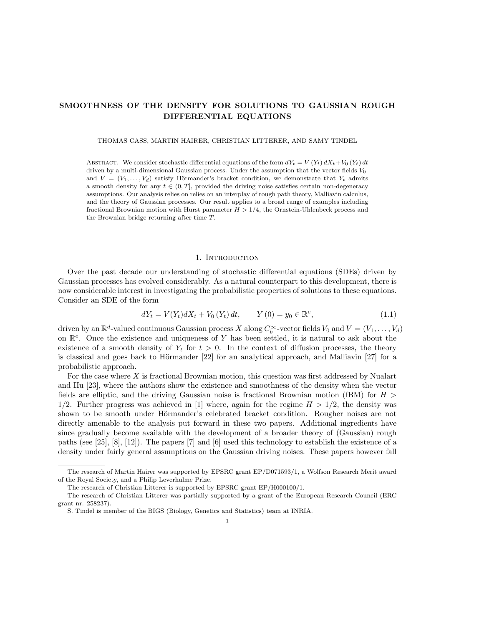# SMOOTHNESS OF THE DENSITY FOR SOLUTIONS TO GAUSSIAN ROUGH DIFFERENTIAL EQUATIONS

THOMAS CASS, MARTIN HAIRER, CHRISTIAN LITTERER, AND SAMY TINDEL

ABSTRACT. We consider stochastic differential equations of the form  $dY_t = V(Y_t) dX_t + V_0(Y_t) dt$ driven by a multi-dimensional Gaussian process. Under the assumption that the vector fields  $V_0$ and  $V = (V_1, \ldots, V_d)$  satisfy Hörmander's bracket condition, we demonstrate that  $Y_t$  admits a smooth density for any  $t \in (0, T]$ , provided the driving noise satisfies certain non-degeneracy assumptions. Our analysis relies on relies on an interplay of rough path theory, Malliavin calculus, and the theory of Gaussian processes. Our result applies to a broad range of examples including fractional Brownian motion with Hurst parameter  $H > 1/4$ , the Ornstein-Uhlenbeck process and the Brownian bridge returning after time T.

#### 1. INTRODUCTION

Over the past decade our understanding of stochastic differential equations (SDEs) driven by Gaussian processes has evolved considerably. As a natural counterpart to this development, there is now considerable interest in investigating the probabilistic properties of solutions to these equations. Consider an SDE of the form

$$
dY_t = V(Y_t)dX_t + V_0(Y_t)dt, \t Y(0) = y_0 \in \mathbb{R}^e,
$$
\t(1.1)

driven by an  $\mathbb{R}^d$ -valued continuous Gaussian process X along  $C_b^{\infty}$ -vector fields  $V_0$  and  $V = (V_1, \ldots, V_d)$ on  $\mathbb{R}^e$ . Once the existence and uniqueness of Y has been settled, it is natural to ask about the existence of a smooth density of  $Y_t$  for  $t > 0$ . In the context of diffusion processes, the theory is classical and goes back to Hörmander  $[22]$  for an analytical approach, and Malliavin  $[27]$  for a probabilistic approach.

For the case where  $X$  is fractional Brownian motion, this question was first addressed by Nualart and Hu [23], where the authors show the existence and smoothness of the density when the vector fields are elliptic, and the driving Gaussian noise is fractional Brownian motion (fBM) for  $H >$ 1/2. Further progress was achieved in [1] where, again for the regime  $H > 1/2$ , the density was shown to be smooth under Hörmander's celebrated bracket condition. Rougher noises are not directly amenable to the analysis put forward in these two papers. Additional ingredients have since gradually become available with the development of a broader theory of (Gaussian) rough paths (see [25], [8], [12]). The papers [7] and [6] used this technology to establish the existence of a density under fairly general assumptions on the Gaussian driving noises. These papers however fall

The research of Martin Hairer was supported by EPSRC grant EP/D071593/1, a Wolfson Research Merit award of the Royal Society, and a Philip Leverhulme Prize.

The research of Christian Litterer is supported by EPSRC grant EP/H000100/1.

The research of Christian Litterer was partially supported by a grant of the European Research Council (ERC grant nr. 258237).

S. Tindel is member of the BIGS (Biology, Genetics and Statistics) team at INRIA.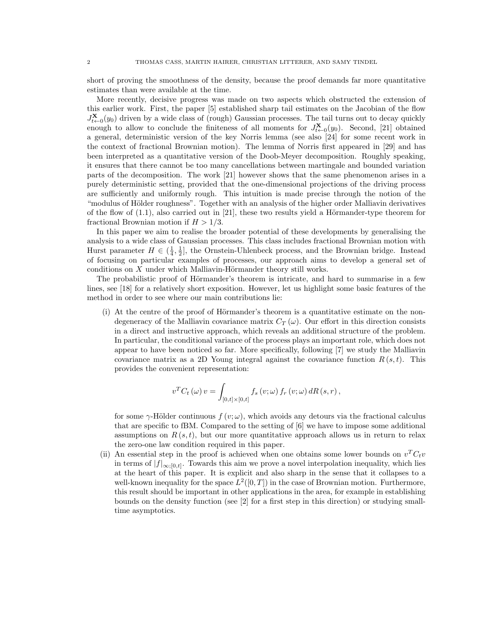short of proving the smoothness of the density, because the proof demands far more quantitative estimates than were available at the time.

More recently, decisive progress was made on two aspects which obstructed the extension of this earlier work. First, the paper [5] established sharp tail estimates on the Jacobian of the flow  $J_{t\leftarrow 0}^{\mathbf{X}}(y_0)$  driven by a wide class of (rough) Gaussian processes. The tail turns out to decay quickly enough to allow to conclude the finiteness of all moments for  $J_{t\leftarrow 0}^{\mathbf{X}}(y_0)$ . Second, [21] obtained a general, deterministic version of the key Norris lemma (see also [24] for some recent work in the context of fractional Brownian motion). The lemma of Norris first appeared in [29] and has been interpreted as a quantitative version of the Doob-Meyer decomposition. Roughly speaking, it ensures that there cannot be too many cancellations between martingale and bounded variation parts of the decomposition. The work [21] however shows that the same phenomenon arises in a purely deterministic setting, provided that the one-dimensional projections of the driving process are sufficiently and uniformly rough. This intuition is made precise through the notion of the "modulus of Hölder roughness". Together with an analysis of the higher order Malliavin derivatives of the flow of  $(1.1)$ , also carried out in [21], these two results yield a Hörmander-type theorem for fractional Brownian motion if  $H > 1/3$ .

In this paper we aim to realise the broader potential of these developments by generalising the analysis to a wide class of Gaussian processes. This class includes fractional Brownian motion with Hurst parameter  $H \in (\frac{1}{4}, \frac{1}{2}]$ , the Ornstein-Uhlenbeck process, and the Brownian bridge. Instead of focusing on particular examples of processes, our approach aims to develop a general set of conditions on  $X$  under which Malliavin-Hörmander theory still works.

The probabilistic proof of Hörmander's theorem is intricate, and hard to summarise in a few lines, see [18] for a relatively short exposition. However, let us highlight some basic features of the method in order to see where our main contributions lie:

 $(i)$  At the centre of the proof of Hörmander's theorem is a quantitative estimate on the nondegeneracy of the Malliavin covariance matrix  $C_T(\omega)$ . Our effort in this direction consists in a direct and instructive approach, which reveals an additional structure of the problem. In particular, the conditional variance of the process plays an important role, which does not appear to have been noticed so far. More specifically, following [7] we study the Malliavin covariance matrix as a 2D Young integral against the covariance function  $R(s,t)$ . This provides the convenient representation:

$$
v^{T}C_{t}\left(\omega\right)v=\int_{\left[0,t\right]\times\left[0,t\right]}f_{s}\left(v;\omega\right)f_{r}\left(v;\omega\right)dR\left(s,r\right),
$$

for some  $\gamma$ -Hölder continuous  $f(v;\omega)$ , which avoids any detours via the fractional calculus that are specific to fBM. Compared to the setting of [6] we have to impose some additional assumptions on  $R(s, t)$ , but our more quantitative approach allows us in return to relax the zero-one law condition required in this paper.

(ii) An essential step in the proof is achieved when one obtains some lower bounds on  $v^T C_t v$ in terms of  $|f|_{\infty,[0,t]}$ . Towards this aim we prove a novel interpolation inequality, which lies at the heart of this paper. It is explicit and also sharp in the sense that it collapses to a well-known inequality for the space  $L^2([0,T])$  in the case of Brownian motion. Furthermore, this result should be important in other applications in the area, for example in establishing bounds on the density function (see [2] for a first step in this direction) or studying smalltime asymptotics.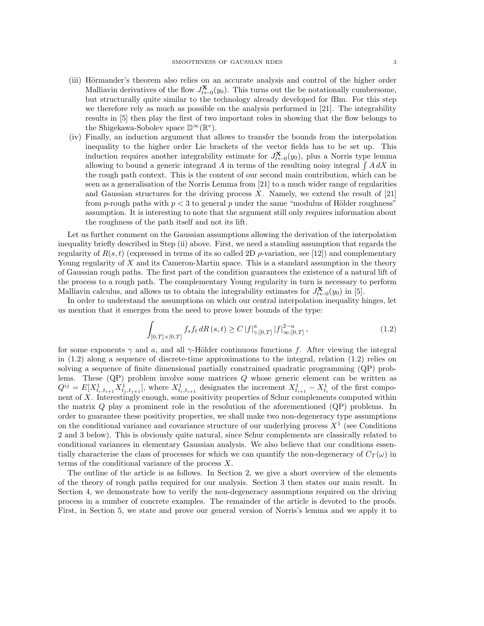- (iii) Hörmander's theorem also relies on an accurate analysis and control of the higher order Malliavin derivatives of the flow  $J_{t\leftarrow 0}^{\mathbf{X}}(y_0)$ . This turns out the be notationally cumbersome, but structurally quite similar to the technology already developed for fBm. For this step we therefore rely as much as possible on the analysis performed in [21]. The integrability results in [5] then play the first of two important roles in showing that the flow belongs to the Shigekawa-Sobolev space  $\mathbb{D}^{\infty}(\mathbb{R}^e)$ .
- (iv) Finally, an induction argument that allows to transfer the bounds from the interpolation inequality to the higher order Lie brackets of the vector fields has to be set up. This induction requires another integrability estimate for  $J_{t\leftarrow 0}^{\mathbf{X}}(y_0)$ , plus a Norris type lemma allowing to bound a generic integrand A in terms of the resulting noisy integral  $\int A dX$  in the rough path context. This is the content of our second main contribution, which can be seen as a generalisation of the Norris Lemma from [21] to a much wider range of regularities and Gaussian structures for the driving process X. Namely, we extend the result of  $[21]$ from p-rough paths with  $p < 3$  to general p under the same "modulus of Hölder roughness" assumption. It is interesting to note that the argument still only requires information about the roughness of the path itself and not its lift.

Let us further comment on the Gaussian assumptions allowing the derivation of the interpolation inequality briefly described in Step (ii) above. First, we need a standing assumption that regards the regularity of  $R(s,t)$  (expressed in terms of its so called 2D  $\rho$ -variation, see [12]) and complementary Young regularity of  $X$  and its Cameron-Martin space. This is a standard assumption in the theory of Gaussian rough paths. The first part of the condition guarantees the existence of a natural lift of the process to a rough path. The complementary Young regularity in turn is necessary to perform Malliavin calculus, and allows us to obtain the integrability estimates for  $J_{t\leftarrow 0}^{\mathbf{X}}(y_0)$  in [5].

In order to understand the assumptions on which our central interpolation inequality hinges, let us mention that it emerges from the need to prove lower bounds of the type:

$$
\int_{[0,T] \times [0,T]} f_s f_t \, dR\left(s,t\right) \ge C \left|f\right|_{\gamma;[0,T]}^a \left|f\right|_{\infty;[0,T]}^{2-a},\tag{1.2}
$$

for some exponents  $\gamma$  and a, and all  $\gamma$ -Hölder continuous functions f. After viewing the integral in  $(1.2)$  along a sequence of discrete-time approximations to the integral, relation  $(1.2)$  relies on solving a sequence of finite dimensional partially constrained quadratic programming (QP) problems. These  $(QP)$  problem involve some matrices  $Q$  whose generic element can be written as  $Q^{ij} = E[X_{t_i,t_{i+1}}^1 X_{t_j,t_{j+1}}^1]$ , where  $X_{t_i,t_{i+1}}^1$  designates the increment  $X_{t_{i+1}}^1 - X_{t_i}^1$  of the first component of X. Interestingly enough, some positivity properties of Schur complements computed within the matrix Q play a prominent role in the resolution of the aforementioned (QP) problems. In order to guarantee these positivity properties, we shall make two non-degeneracy type assumptions on the conditional variance and covariance structure of our underlying process  $X<sup>1</sup>$  (see Conditions 2 and 3 below). This is obviously quite natural, since Schur complements are classically related to conditional variances in elementary Gaussian analysis. We also believe that our conditions essentially characterise the class of processes for which we can quantify the non-degeneracy of  $C_T(\omega)$  in terms of the conditional variance of the process X.

The outline of the article is as follows. In Section 2, we give a short overview of the elements of the theory of rough paths required for our analysis. Section 3 then states our main result. In Section 4, we demonstrate how to verify the non-degeneracy assumptions required on the driving process in a number of concrete examples. The remainder of the article is devoted to the proofs. First, in Section 5, we state and prove our general version of Norris's lemma and we apply it to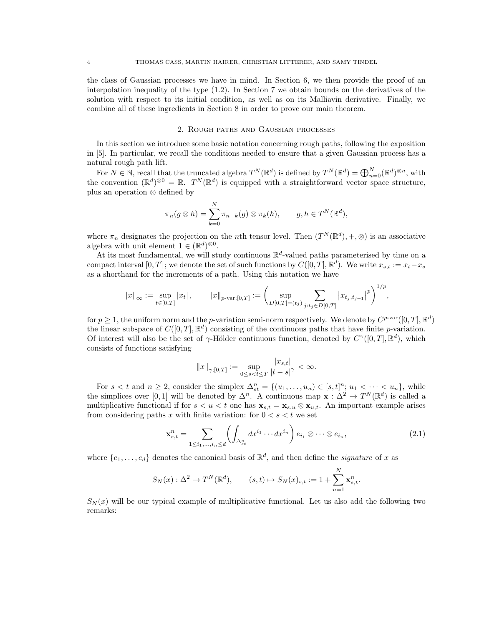the class of Gaussian processes we have in mind. In Section 6, we then provide the proof of an interpolation inequality of the type (1.2). In Section 7 we obtain bounds on the derivatives of the solution with respect to its initial condition, as well as on its Malliavin derivative. Finally, we combine all of these ingredients in Section 8 in order to prove our main theorem.

### 2. Rough paths and Gaussian processes

In this section we introduce some basic notation concerning rough paths, following the exposition in [5]. In particular, we recall the conditions needed to ensure that a given Gaussian process has a natural rough path lift.

For  $N \in \mathbb{N}$ , recall that the truncated algebra  $T^N(\mathbb{R}^d)$  is defined by  $T^N(\mathbb{R}^d) = \bigoplus_{n=0}^N (\mathbb{R}^d)^{\otimes n}$ , with the convention  $(\mathbb{R}^d)^{\otimes 0} = \mathbb{R}$ .  $T^N(\mathbb{R}^d)$  is equipped with a straightforward vector space structure, plus an operation ⊗ defined by

$$
\pi_n(g \otimes h) = \sum_{k=0}^N \pi_{n-k}(g) \otimes \pi_k(h), \qquad g, h \in T^N(\mathbb{R}^d),
$$

where  $\pi_n$  designates the projection on the *n*th tensor level. Then  $(T^N(\mathbb{R}^d), +, \otimes)$  is an associative algebra with unit element  $\mathbf{1} \in (\mathbb{R}^d)^{\otimes 0}$ .

At its most fundamental, we will study continuous  $\mathbb{R}^d$ -valued paths parameterised by time on a compact interval  $[0, T]$ ; we denote the set of such functions by  $C([0, T], \mathbb{R}^d)$ . We write  $x_{s,t} := x_t - x_s$ as a shorthand for the increments of a path. Using this notation we have

$$
\|x\|_{\infty}:=\sup_{t\in[0,T]}|x_t|\,,\qquad \|x\|_{p\text{-}\mathrm{var};[0,T]}:=\biggl(\sup_{D[0,T]=(t_j)}\sum_{j:t_j\in D[0,T]} \big|x_{t_j,t_{j+1}}\big|^p\biggr)^{1/p},
$$

for  $p \geq 1$ , the uniform norm and the p-variation semi-norm respectively. We denote by  $C^{p-var}([0,T], \mathbb{R}^d)$ the linear subspace of  $C([0,T], \mathbb{R}^d)$  consisting of the continuous paths that have finite p-variation. Of interest will also be the set of  $\gamma$ -Hölder continuous function, denoted by  $C^{\gamma}([0,T], \mathbb{R}^d)$ , which consists of functions satisfying

$$
||x||_{\gamma;[0,T]} := \sup_{0 \le s < t \le T} \frac{|x_{s,t}|}{|t-s|^\gamma} < \infty.
$$

For  $s < t$  and  $n \geq 2$ , consider the simplex  $\Delta_{st}^n = \{(u_1, \ldots, u_n) \in [s, t]^n; u_1 < \cdots < u_n\}$ , while the simplices over [0,1] will be denoted by  $\Delta^n$ . A continuous map  $\mathbf{x} : \Delta^2 \to T^N(\mathbb{R}^d)$  is called a multiplicative functional if for  $s < u < t$  one has  $\mathbf{x}_{s,t} = \mathbf{x}_{s,u} \otimes \mathbf{x}_{u,t}$ . An important example arises from considering paths x with finite variation: for  $0 < s < t$  we set

$$
\mathbf{x}_{s,t}^n = \sum_{1 \le i_1, \dots, i_n \le d} \left( \int_{\Delta_{st}^n} dx^{i_1} \cdots dx^{i_n} \right) e_{i_1} \otimes \cdots \otimes e_{i_n}, \tag{2.1}
$$

where  $\{e_1, \ldots, e_d\}$  denotes the canonical basis of  $\mathbb{R}^d$ , and then define the *signature* of x as

$$
S_N(x) : \Delta^2 \to T^N(\mathbb{R}^d), \qquad (s,t) \mapsto S_N(x)_{s,t} := 1 + \sum_{n=1}^N \mathbf{x}_{s,t}^n.
$$

 $S_N(x)$  will be our typical example of multiplicative functional. Let us also add the following two remarks: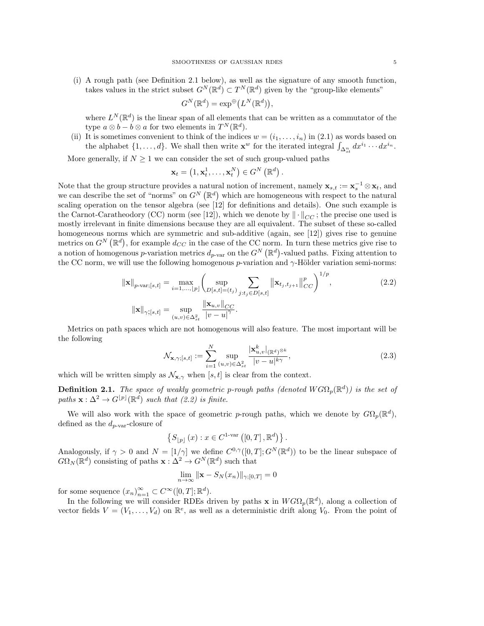(i) A rough path (see Definition 2.1 below), as well as the signature of any smooth function, takes values in the strict subset  $G^N(\mathbb{R}^d) \subset T^N(\mathbb{R}^d)$  given by the "group-like elements"

$$
G^N(\mathbb{R}^d) = \exp^{\oplus} (L^N(\mathbb{R}^d)),
$$

where  $L^N(\mathbb{R}^d)$  is the linear span of all elements that can be written as a commutator of the type  $a \otimes b - b \otimes a$  for two elements in  $T^N(\mathbb{R}^d)$ .

(ii) It is sometimes convenient to think of the indices  $w = (i_1, \ldots, i_n)$  in (2.1) as words based on the alphabet  $\{1,\ldots,d\}$ . We shall then write  $\mathbf{x}^w$  for the iterated integral  $\int_{\Delta_{st}^n} dx^{i_1} \cdots dx^{i_n}$ .

More generally, if  $N \geq 1$  we can consider the set of such group-valued paths

$$
\mathbf{x}_{t}=\left(1,\mathbf{x}_{t}^{1},\ldots,\mathbf{x}_{t}^{N}\right)\in G^{N}\left(\mathbb{R}^{d}\right).
$$

Note that the group structure provides a natural notion of increment, namely  $\mathbf{x}_{s,t} := \mathbf{x}_s^{-1} \otimes \mathbf{x}_t$ , and we can describe the set of "norms" on  $G^N(\mathbb{R}^d)$  which are homogeneous with respect to the natural scaling operation on the tensor algebra (see [12] for definitions and details). One such example is the Carnot-Caratheodory (CC) norm (see [12]), which we denote by  $\|\cdot\|_{CC}$ ; the precise one used is mostly irrelevant in finite dimensions because they are all equivalent. The subset of these so-called homogeneous norms which are symmetric and sub-additive (again, see [12]) gives rise to genuine metrics on  $G^N(\mathbb{R}^d)$ , for example  $d_{CC}$  in the case of the CC norm. In turn these metrics give rise to a notion of homogenous p-variation metrics  $d_{p\text{-var}}$  on the  $G^N(\mathbb{R}^d)$ -valued paths. Fixing attention to the CC norm, we will use the following homogenous p-variation and  $\gamma$ -Hölder variation semi-norms:

$$
\|\mathbf{x}\|_{p\text{-var};[s,t]} = \max_{i=1,\dots,p} \left( \sup_{D[s,t]=(t_j)} \sum_{j:t_j \in D[s,t]} \|\mathbf{x}_{t_j,t_{j+1}}\|_{CC}^p \right)^{1/p},
$$
\n
$$
\|\mathbf{x}\|_{\gamma;[s,t]} = \sup_{(u,v)\in\Delta_{st}^2} \frac{\|\mathbf{x}_{u,v}\|_{CC}}{|v-u|^{\gamma}}.
$$
\n(2.2)

Metrics on path spaces which are not homogenous will also feature. The most important will be the following

$$
\mathcal{N}_{\mathbf{x},\gamma,[s,t]} := \sum_{i=1}^{N} \sup_{(u,v)\in\Delta_{st}^2} \frac{|\mathbf{x}_{u,v}^k|_{(\mathbb{R}^d)^{\otimes k}}}{|v-u|^{k\gamma}},\tag{2.3}
$$

which will be written simply as  $\mathcal{N}_{\mathbf{x},\gamma}$  when [s, t] is clear from the context.

**Definition 2.1.** The space of weakly geometric p-rough paths (denoted  $WG\Omega_p(\mathbb{R}^d)$ ) is the set of paths  $\mathbf{x}: \Delta^2 \to G^{[p]}(\mathbb{R}^d)$  such that (2.2) is finite.

We will also work with the space of geometric p-rough paths, which we denote by  $G\Omega_p(\mathbb{R}^d)$ , defined as the  $d_{p\text{-}\text{var}}$ -closure of

$$
\left\{S_{\lfloor p\rfloor}\left(x\right):x\in C^{1\text{-}\mathrm{var}}\left(\left[0,T\right],\mathbb{R}^{d}\right)\right\}.
$$

Analogously, if  $\gamma > 0$  and  $N = \lfloor 1/\gamma \rfloor$  we define  $C^{0,\gamma}([0,T];G^N(\mathbb{R}^d))$  to be the linear subspace of  $G\Omega_N(\mathbb{R}^d)$  consisting of paths  $\mathbf{x}: \Delta^2 \to G^N(\mathbb{R}^d)$  such that

$$
\lim_{n \to \infty} \|\mathbf{x} - S_N(x_n)\|_{\gamma;[0,T]} = 0
$$

for some sequence  $(x_n)_{n=1}^{\infty} \subset C^{\infty}([0,T]; \mathbb{R}^d)$ .

In the following we will consider RDEs driven by paths **x** in  $WG\Omega_p(\mathbb{R}^d)$ , along a collection of vector fields  $V = (V_1, \ldots, V_d)$  on  $\mathbb{R}^e$ , as well as a deterministic drift along  $V_0$ . From the point of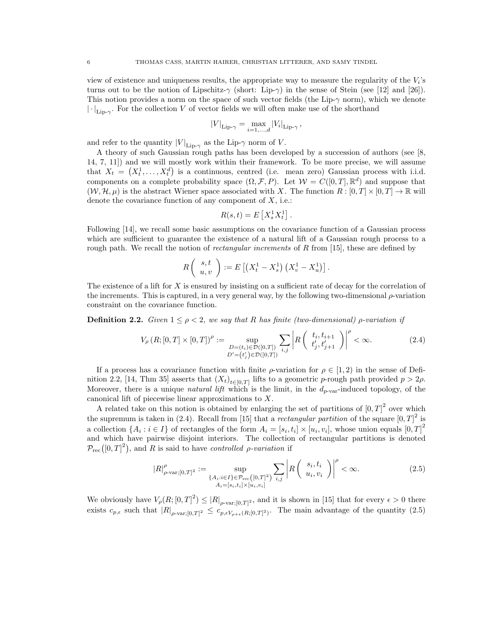view of existence and uniqueness results, the appropriate way to measure the regularity of the  $V_i$ 's turns out to be the notion of Lipschitz- $\gamma$  (short: Lip- $\gamma$ ) in the sense of Stein (see [12] and [26]). This notion provides a norm on the space of such vector fields (the Lip- $\gamma$  norm), which we denote  $\lVert \cdot \rVert_{\text{Lip-}\gamma}$ . For the collection V of vector fields we will often make use of the shorthand

$$
|V|_{\text{Lip-}\gamma} = \max_{i=1,\dots,d} |V_i|_{\text{Lip-}\gamma},
$$

and refer to the quantity  $|V|_{\text{Lip-}\gamma}$  as the Lip- $\gamma$  norm of V.

A theory of such Gaussian rough paths has been developed by a succession of authors (see [8, 14, 7, 11]) and we will mostly work within their framework. To be more precise, we will assume that  $X_t = (X_t^1, \ldots, X_t^d)$  is a continuous, centred (i.e. mean zero) Gaussian process with i.i.d. components on a complete probability space  $(\Omega, \mathcal{F}, P)$ . Let  $\mathcal{W} = C([0, T], \mathbb{R}^d)$  and suppose that  $(W, \mathcal{H}, \mu)$  is the abstract Wiener space associated with X. The function  $R : [0, T] \times [0, T] \to \mathbb{R}$  will denote the covariance function of any component of  $X$ , i.e.:

$$
R(s,t) = E\left[X_s^1 X_t^1\right].
$$

Following [14], we recall some basic assumptions on the covariance function of a Gaussian process which are sufficient to guarantee the existence of a natural lift of a Gaussian rough process to a rough path. We recall the notion of *rectangular increments* of  $R$  from [15], these are defined by

$$
R\left(\begin{array}{c} s,t \\ u,v \end{array}\right) := E\left[\left(X_t^1 - X_s^1\right)\left(X_v^1 - X_u^1\right)\right].
$$

The existence of a lift for  $X$  is ensured by insisting on a sufficient rate of decay for the correlation of the increments. This is captured, in a very general way, by the following two-dimensional  $\rho$ -variation constraint on the covariance function.

**Definition 2.2.** Given  $1 \leq \rho < 2$ , we say that R has finite (two-dimensional)  $\rho$ -variation if

$$
V_{\rho}(R;[0,T] \times [0,T])^{\rho} := \sup_{\substack{D=(t_i) \in \mathcal{D}([0,T]) \\ D'=(t'_j) \in \mathcal{D}([0,T])}} \sum_{i,j} \left| R\left(\begin{array}{c} t_i, t_{i+1} \\ t'_j, t'_{j+1} \end{array}\right) \right|^{\rho} < \infty.
$$
 (2.4)

If a process has a covariance function with finite  $\rho$ -variation for  $\rho \in [1,2)$  in the sense of Definition 2.2, [14, Thm 35] asserts that  $(X_t)_{t \in [0,T]}$  lifts to a geometric p-rough path provided  $p > 2\rho$ . Moreover, there is a unique *natural lift* which is the limit, in the  $d_{p-var}$ -induced topology, of the canonical lift of piecewise linear approximations to X.

A related take on this notion is obtained by enlarging the set of partitions of  $[0, T]^2$  over which the supremum is taken in (2.4). Recall from [15] that a *rectangular partition* of the square  $[0, T]^2$  is a collection  $\{A_i : i \in I\}$  of rectangles of the form  $A_i = [s_i, t_i] \times [u_i, v_i]$ , whose union equals  $[0, T]^2$ and which have pairwise disjoint interiors. The collection of rectangular partitions is denoted  $\mathcal{P}_{\text{rec}}([0, T]^2)$ , and R is said to have controlled *ρ*-variation if

$$
|R|_{\rho\text{-var;[0,T]}^2}^{\rho} := \sup_{\substack{\{A_i : i \in I\} \in \mathcal{P}_{\text{rec}}([0,T]^2) \\ A_i = [s_i, t_i] \times [u_i, v_i]}} \sum_{i,j} \left| R\left(\begin{array}{c} s_i, t_i \\ u_i, v_i \end{array}\right) \right|^{\rho} < \infty. \tag{2.5}
$$

We obviously have  $V_{\rho}(R;[0,T]^2) \leq |R|_{\rho\text{-}\text{var};[0,T]^2}$ , and it is shown in [15] that for every  $\epsilon > 0$  there exists  $c_{p,\epsilon}$  such that  $|R|_{\rho\text{-}\text{var};[0,T]^2} \leq c_{p,\epsilon V_{\rho+\epsilon}(R,[0,T]^2)}$ . The main advantage of the quantity  $(2.5)$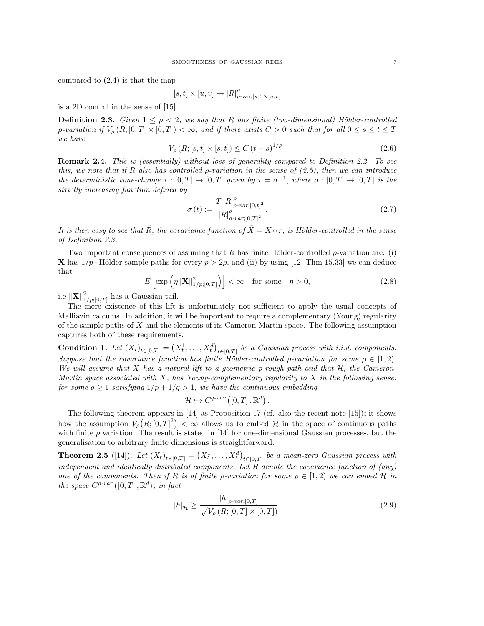compared to (2.4) is that the map

$$
[s,t]\times[u,v]\mapsto |R|^\rho_{\rho\text{-}\mathrm{var};[s,t]\times[u,v]}
$$

is a 2D control in the sense of [15].

**Definition 2.3.** Given  $1 \leq \rho < 2$ , we say that R has finite (two-dimensional) Hölder-controlled *ρ*-variation if  $V_{\rho}(R;[0,T]\times[0,T])<\infty$ , and if there exists  $C>0$  such that for all  $0\leq s\leq t\leq T$ we have

$$
V_{\rho}(R; [s, t] \times [s, t]) \le C (t - s)^{1/\rho}.
$$
\n(2.6)

**Remark 2.4.** This is (essentially) without loss of generality compared to Definition 2.2. To see this, we note that if R also has controlled  $\rho$ -variation in the sense of (2.5), then we can introduce the deterministic time-change  $\tau : [0, T] \to [0, T]$  given by  $\tau = \sigma^{-1}$ , where  $\sigma : [0, T] \to [0, T]$  is the strictly increasing function defined by

$$
\sigma(t) := \frac{T |R|_{\rho-var;[0,t]^2}^{\rho}}{|R|_{\rho-var;[0,T]^2}^{\rho}}.
$$
\n(2.7)

It is then easy to see that  $\tilde{R}$ , the covariance function of  $\tilde{X} = X \circ \tau$ , is Hölder-controlled in the sense of Definition 2.3.

Two important consequences of assuming that R has finite Hölder-controlled  $\rho$ -variation are: (i) X has  $1/p$ –Hölder sample paths for every  $p > 2\rho$ , and (ii) by using [12, Thm 15.33] we can deduce that

$$
E\left[\exp\left(\eta \|\mathbf{X}\|_{1/p;[0,T]}^2\right)\right] < \infty \quad \text{for some} \quad \eta > 0,\tag{2.8}
$$

i.e  $\left\Vert \mathbf{X}\right\Vert _{1/p;\left[ 0,T\right] }^{2}$  has a Gaussian tail.

The mere existence of this lift is unfortunately not sufficient to apply the usual concepts of Malliavin calculus. In addition, it will be important to require a complementary (Young) regularity of the sample paths of  $X$  and the elements of its Cameron-Martin space. The following assumption captures both of these requirements.

**Condition 1.** Let  $(X_t)_{t \in [0,T]} = (X_t^1, \ldots, X_t^d)_{t \in [0,T]}$  be a Gaussian process with i.i.d. components. Suppose that the covariance function has finite Hölder-controlled ρ-variation for some  $\rho \in [1,2)$ . We will assume that X has a natural lift to a geometric p-rough path and that  $H$ , the Cameron-Martin space associated with  $X$ , has Young-complementary regularity to  $X$  in the following sense: for some  $q \ge 1$  satisfying  $1/p + 1/q > 1$ , we have the continuous embedding

$$
\mathcal{H} \hookrightarrow C^{q-var} ([0, T], \mathbb{R}^d).
$$

The following theorem appears in [14] as Proposition 17 (cf. also the recent note [15]); it shows how the assumption  $V_{\rho}(R;[0,T]^2) < \infty$  allows us to embed H in the space of continuous paths with finite  $\rho$  variation. The result is stated in [14] for one-dimensional Gaussian processes, but the generalisation to arbitrary finite dimensions is straightforward.

**Theorem 2.5** ([14]). Let  $(X_t)_{t \in [0,T]} = (X_t^1, \ldots, X_t^d)_{t \in [0,T]}$  be a mean-zero Gaussian process with independent and identically distributed components. Let R denote the covariance function of (any) one of the components. Then if R is of finite *ρ*-variation for some  $\rho \in [1,2)$  we can embed H in the space  $C^{\rho\text{-}var}([0,T],\mathbb{R}^d)$ , in fact

$$
|h|_{\mathcal{H}} \ge \frac{|h|_{\rho\text{-}\text{var};[0,T]}}{\sqrt{V_{\rho}\left(R;[0,T]\times[0,T]\right)}}.\tag{2.9}
$$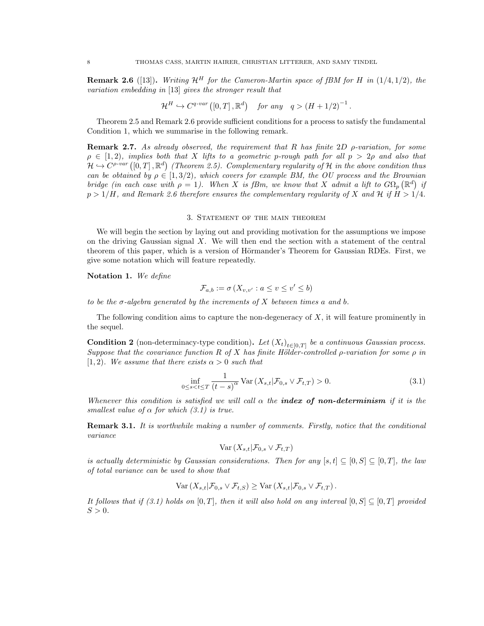**Remark 2.6** ([13]). Writing  $\mathcal{H}^H$  for the Cameron-Martin space of fBM for H in (1/4, 1/2), the variation embedding in [13] gives the stronger result that

$$
\mathcal{H}^H \hookrightarrow C^{q-var}([0,T], \mathbb{R}^d) \quad \text{for any} \quad q > (H + 1/2)^{-1}.
$$

Theorem 2.5 and Remark 2.6 provide sufficient conditions for a process to satisfy the fundamental Condition 1, which we summarise in the following remark.

**Remark 2.7.** As already observed, the requirement that R has finite 2D  $\rho$ -variation, for some  $\rho \in [1, 2)$ , implies both that X lifts to a geometric p-rough path for all  $p > 2\rho$  and also that  $\mathcal{H} \hookrightarrow C^{p-var}([0,T], \mathbb{R}^d)$  (Theorem 2.5). Complementary regularity of H in the above condition thus can be obtained by  $\rho \in [1, 3/2)$ , which covers for example BM, the OU process and the Brownian bridge (in each case with  $\rho = 1$ ). When X is fBm, we know that X admit a lift to  $G\Omega_p(\mathbb{R}^d)$  if  $p > 1/H$ , and Remark 2.6 therefore ensures the complementary regularity of X and H if  $H > 1/4$ .

### 3. Statement of the main theorem

We will begin the section by laying out and providing motivation for the assumptions we impose on the driving Gaussian signal  $X$ . We will then end the section with a statement of the central theorem of this paper, which is a version of Hörmander's Theorem for Gaussian RDEs. First, we give some notation which will feature repeatedly.

Notation 1. We define

$$
\mathcal{F}_{a,b} := \sigma\left(X_{v,v'} : a \le v \le v' \le b\right)
$$

to be the  $\sigma$ -algebra generated by the increments of X between times a and b.

The following condition aims to capture the non-degeneracy of  $X$ , it will feature prominently in the sequel.

**Condition 2** (non-determinacy-type condition). Let  $(X_t)_{t \in [0,T]}$  be a continuous Gaussian process. Suppose that the covariance function R of X has finite Hölder-controlled  $\rho$ -variation for some  $\rho$  in  $[1, 2)$ . We assume that there exists  $\alpha > 0$  such that

$$
\inf_{0 \le s < t \le T} \frac{1}{(t-s)^\alpha} \operatorname{Var}\left(X_{s,t} | \mathcal{F}_{0,s} \vee \mathcal{F}_{t,T}\right) > 0. \tag{3.1}
$$

Whenever this condition is satisfied we will call  $\alpha$  the **index of non-determinism** if it is the smallest value of  $\alpha$  for which  $(3.1)$  is true.

**Remark 3.1.** It is worthwhile making a number of comments. Firstly, notice that the conditional variance

$$
\text{Var}\left(X_{s,t}|\mathcal{F}_{0,s}\vee\mathcal{F}_{t,T}\right)
$$

is actually deterministic by Gaussian considerations. Then for any  $[s, t] \subseteq [0, S] \subseteq [0, T]$ , the law of total variance can be used to show that

$$
\text{Var}\left(X_{s,t}|\mathcal{F}_{0,s} \vee \mathcal{F}_{t,S}\right) \geq \text{Var}\left(X_{s,t}|\mathcal{F}_{0,s} \vee \mathcal{F}_{t,T}\right).
$$

It follows that if (3.1) holds on [0, T], then it will also hold on any interval  $[0, S] \subset [0, T]$  provided  $S > 0$ .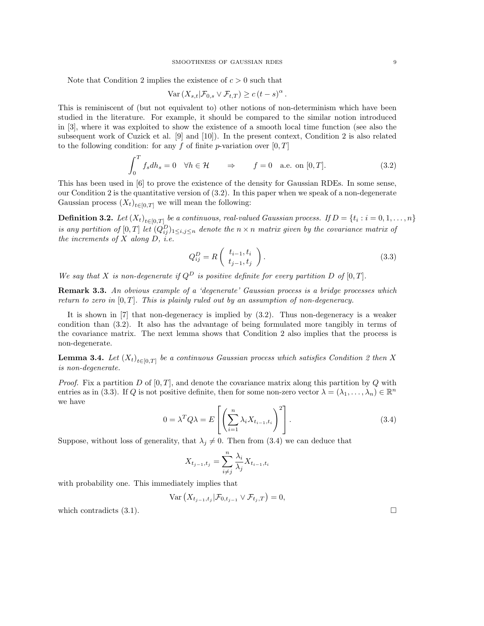Note that Condition 2 implies the existence of  $c > 0$  such that

$$
\text{Var}\left(X_{s,t}|\mathcal{F}_{0,s}\vee\mathcal{F}_{t,T}\right)\ge c\left(t-s\right)^{\alpha}.
$$

This is reminiscent of (but not equivalent to) other notions of non-determinism which have been studied in the literature. For example, it should be compared to the similar notion introduced in [3], where it was exploited to show the existence of a smooth local time function (see also the subsequent work of Cuzick et al. [9] and [10]). In the present context, Condition 2 is also related to the following condition: for any f of finite p-variation over  $[0, T]$ 

$$
\int_0^T f_s dh_s = 0 \quad \forall h \in \mathcal{H} \qquad \Rightarrow \qquad f = 0 \quad \text{a.e. on } [0, T]. \tag{3.2}
$$

This has been used in [6] to prove the existence of the density for Gaussian RDEs. In some sense, our Condition 2 is the quantitative version of  $(3.2)$ . In this paper when we speak of a non-degenerate Gaussian process  $(X_t)_{t \in [0,T]}$  we will mean the following:

**Definition 3.2.** Let  $(X_t)_{t \in [0,T]}$  be a continuous, real-valued Gaussian process. If  $D = \{t_i : i = 0, 1, ..., n\}$ is any partition of  $[0,T]$  let  $(Q_{ij}^D)_{1\leq i,j\leq n}$  denote the  $n \times n$  matrix given by the covariance matrix of the increments of  $X$  along  $D$ , *i.e.* 

$$
Q_{ij}^D = R\left(\begin{array}{c} t_{i-1}, t_i \\ t_{j-1}, t_j \end{array}\right). \tag{3.3}
$$

We say that X is non-degenerate if  $Q^D$  is positive definite for every partition D of [0, T].

**Remark 3.3.** An obvious example of a 'degenerate' Gaussian process is a bridge processes which return to zero in  $[0, T]$ . This is plainly ruled out by an assumption of non-degeneracy.

It is shown in [7] that non-degeneracy is implied by (3.2). Thus non-degeneracy is a weaker condition than (3.2). It also has the advantage of being formulated more tangibly in terms of the covariance matrix. The next lemma shows that Condition 2 also implies that the process is non-degenerate.

**Lemma 3.4.** Let  $(X_t)_{t \in [0,T]}$  be a continuous Gaussian process which satisfies Condition 2 then X is non-degenerate.

*Proof.* Fix a partition D of  $[0, T]$ , and denote the covariance matrix along this partition by Q with entries as in (3.3). If Q is not positive definite, then for some non-zero vector  $\lambda = (\lambda_1, \ldots, \lambda_n) \in \mathbb{R}^n$ we have

$$
0 = \lambda^T Q \lambda = E\left[ \left( \sum_{i=1}^n \lambda_i X_{t_{i-1}, t_i} \right)^2 \right]. \tag{3.4}
$$

Suppose, without loss of generality, that  $\lambda_j \neq 0$ . Then from (3.4) we can deduce that

$$
X_{t_{j-1},t_j} = \sum_{i \neq j}^{n} \frac{\lambda_i}{\lambda_j} X_{t_{i-1},t_i}
$$

with probability one. This immediately implies that

$$
\text{Var}\left(X_{t_{j-1},t_j}|\mathcal{F}_{0,t_{j-1}}\vee \mathcal{F}_{t_j,T}\right)=0,
$$

which contradicts  $(3.1)$ .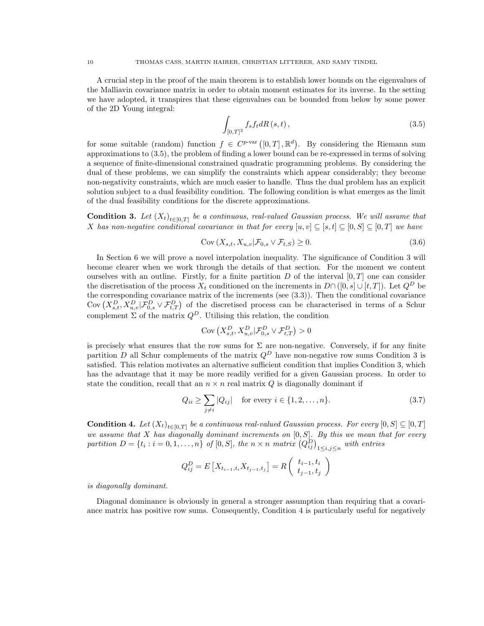A crucial step in the proof of the main theorem is to establish lower bounds on the eigenvalues of the Malliavin covariance matrix in order to obtain moment estimates for its inverse. In the setting we have adopted, it transpires that these eigenvalues can be bounded from below by some power of the 2D Young integral:

$$
\int_{[0,T]^2} f_s f_t dR\,(s,t)\,,\tag{3.5}
$$

for some suitable (random) function  $f \in C^{p-var}([0,T], \mathbb{R}^d)$ . By considering the Riemann sum approximations to (3.5), the problem of finding a lower bound can be re-expressed in terms of solving a sequence of finite-dimensional constrained quadratic programming problems. By considering the dual of these problems, we can simplify the constraints which appear considerably; they become non-negativity constraints, which are much easier to handle. Thus the dual problem has an explicit solution subject to a dual feasibility condition. The following condition is what emerges as the limit of the dual feasibility conditions for the discrete approximations.

**Condition 3.** Let  $(X_t)_{t \in [0,T]}$  be a continuous, real-valued Gaussian process. We will assume that X has non-negative conditional covariance in that for every  $[u, v] \subseteq [s, t] \subseteq [0, S] \subseteq [0, T]$  we have

$$
\text{Cov}\left(X_{s,t}, X_{u,v} | \mathcal{F}_{0,s} \vee \mathcal{F}_{t,S}\right) \ge 0. \tag{3.6}
$$

In Section 6 we will prove a novel interpolation inequality. The significance of Condition 3 will become clearer when we work through the details of that section. For the moment we content ourselves with an outline. Firstly, for a finite partition  $D$  of the interval  $[0, T]$  one can consider the discretisation of the process  $X_t$  conditioned on the increments in  $D \cap ([0, s] \cup [t, T])$ . Let  $Q^D$  be the corresponding covariance matrix of the increments (see (3.3)). Then the conditional covariance Cov  $(X_{s,t}^D, X_{u,v}^D | \mathcal{F}_{0,s}^D \vee \mathcal{F}_{t,T}^D)$  of the discretised process can be characterised in terms of a Schur complement  $\Sigma$  of the matrix  $Q^D$ . Utilising this relation, the condition

$$
Cov(X_{s,t}^D, X_{u,v}^D | \mathcal{F}_{0,s}^D \vee \mathcal{F}_{t,T}^D) > 0
$$

is precisely what ensures that the row sums for  $\Sigma$  are non-negative. Conversely, if for any finite partition D all Schur complements of the matrix  $Q^D$  have non-negative row sums Condition 3 is satisfied. This relation motivates an alternative sufficient condition that implies Condition 3, which has the advantage that it may be more readily verified for a given Gaussian process. In order to state the condition, recall that an  $n \times n$  real matrix Q is diagonally dominant if

$$
Q_{ii} \ge \sum_{j \ne i} |Q_{ij}| \quad \text{for every } i \in \{1, 2, \dots, n\}.
$$
 (3.7)

**Condition 4.** Let  $(X_t)_{t \in [0,T]}$  be a continuous real-valued Gaussian process. For every  $[0, S] \subseteq [0, T]$ we assume that  $X$  has diagonally dominant increments on  $[0, S]$ . By this we mean that for every partition  $D = \{t_i : i = 0, 1, \ldots, n\}$  of  $[0, S]$ , the  $n \times n$  matrix  $(Q_{ij}^D)_{1 \leq i, j \leq n}$  with entries

$$
Q_{ij}^{D} = E\left[X_{t_{i-1}, t_i} X_{t_{j-1}, t_j}\right] = R\left(\begin{array}{c} t_{i-1}, t_i \\ t_{j-1}, t_j \end{array}\right)
$$

is diagonally dominant.

Diagonal dominance is obviously in general a stronger assumption than requiring that a covariance matrix has positive row sums. Consequently, Condition 4 is particularly useful for negatively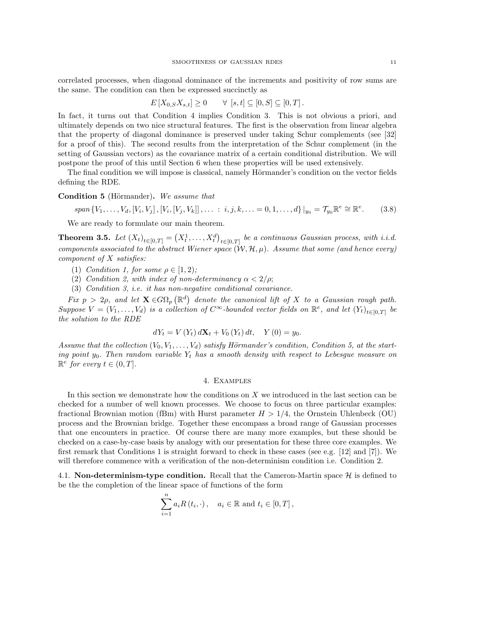correlated processes, when diagonal dominance of the increments and positivity of row sums are the same. The condition can then be expressed succinctly as

$$
E[X_{0,S}X_{s,t}] \geq 0 \qquad \forall [s,t] \subseteq [0,S] \subseteq [0,T].
$$

In fact, it turns out that Condition 4 implies Condition 3. This is not obvious a priori, and ultimately depends on two nice structural features. The first is the observation from linear algebra that the property of diagonal dominance is preserved under taking Schur complements (see [32] for a proof of this). The second results from the interpretation of the Schur complement (in the setting of Gaussian vectors) as the covariance matrix of a certain conditional distribution. We will postpone the proof of this until Section 6 when these properties will be used extensively.

The final condition we will impose is classical, namely Hörmander's condition on the vector fields defining the RDE.

Condition 5 (Hörmander). We assume that

 $span\{V_1,\ldots,V_d,[V_i,V_j],[V_i,[V_j,V_k]]\ldots : i,j,k,\ldots = 0,1,\ldots,d\}\big|_{y_0} = \mathcal{T}_{y_0}\mathbb{R}^e \cong \mathbb{R}^e$  $(3.8)$ 

We are ready to formulate our main theorem.

**Theorem 3.5.** Let  $(X_t)_{t \in [0,T]} = (X_t^1, \ldots, X_t^d)_{t \in [0,T]}$  be a continuous Gaussian process, with i.i.d. components associated to the abstract Wiener space  $(\mathcal{W}, \mathcal{H}, \mu)$ . Assume that some (and hence every) component of X satisfies:

- (1) Condition 1, for some  $\rho \in [1,2);$
- (2) Condition 2, with index of non-determinancy  $\alpha < 2/\rho$ ;
- (3) Condition 3, i.e. it has non-negative conditional covariance.

Fix  $p > 2\rho$ , and let  $\mathbf{X} \in G\Omega_p(\mathbb{R}^d)$  denote the canonical lift of X to a Gaussian rough path. Suppose  $V = (V_1, \ldots, V_d)$  is a collection of  $C^{\infty}$ -bounded vector fields on  $\mathbb{R}^e$ , and let  $(Y_t)_{t \in [0,T]}$  be the solution to the RDE

$$
dY_t = V(Y_t) d\mathbf{X}_t + V_0(Y_t) dt, \quad Y(0) = y_0.
$$

Assume that the collection  $(V_0, V_1, \ldots, V_d)$  satisfy Hörmander's condition, Condition 5, at the starting point  $y_0$ . Then random variable  $Y_t$  has a smooth density with respect to Lebesgue measure on  $\mathbb{R}^e$  for every  $t \in (0, T]$ .

#### 4. Examples

In this section we demonstrate how the conditions on X we introduced in the last section can be checked for a number of well known processes. We choose to focus on three particular examples: fractional Brownian motion (fBm) with Hurst parameter  $H > 1/4$ , the Ornstein Uhlenbeck (OU) process and the Brownian bridge. Together these encompass a broad range of Gaussian processes that one encounters in practice. Of course there are many more examples, but these should be checked on a case-by-case basis by analogy with our presentation for these three core examples. We first remark that Conditions 1 is straight forward to check in these cases (see e.g. [12] and [7]). We will therefore commence with a verification of the non-determinism condition i.e. Condition 2.

4.1. Non-determinism-type condition. Recall that the Cameron-Martin space  $\mathcal{H}$  is defined to be the the completion of the linear space of functions of the form

$$
\sum_{i=1}^{n} a_i R(t_i, \cdot), \quad a_i \in \mathbb{R} \text{ and } t_i \in [0, T],
$$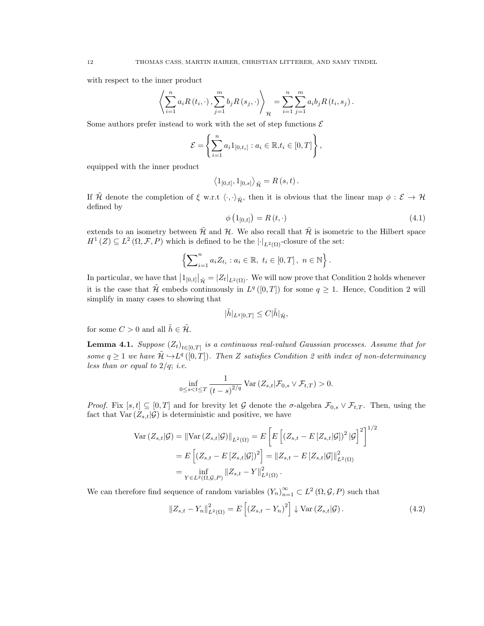with respect to the inner product

$$
\left\langle \sum_{i=1}^{n} a_{i} R(t_{i}, \cdot), \sum_{j=1}^{m} b_{j} R(s_{j}, \cdot) \right\rangle_{\mathcal{H}} = \sum_{i=1}^{n} \sum_{j=1}^{m} a_{i} b_{j} R(t_{i}, s_{j}).
$$

Some authors prefer instead to work with the set of step functions  $\mathcal E$ 

$$
\mathcal{E} = \left\{ \sum_{i=1}^{n} a_i 1_{[0,t_i]} : a_i \in \mathbb{R}, t_i \in [0,T] \right\},\
$$

equipped with the inner product

$$
\langle 1_{[0,t]},1_{[0,s]} \rangle_{\tilde{\mathcal{H}}} = R(s,t).
$$

If  $\tilde{\mathcal{H}}$  denote the completion of  $\xi$  w.r.t  $\langle \cdot, \cdot \rangle_{\tilde{\mathcal{H}}}$ , then it is obvious that the linear map  $\phi : \mathcal{E} \to \mathcal{H}$ defined by

$$
\phi\left(1_{[0,t]}\right) = R\left(t, \cdot\right) \tag{4.1}
$$

extends to an isometry between  $\tilde{\mathcal{H}}$  and  $\mathcal{H}$ . We also recall that  $\tilde{\mathcal{H}}$  is isometric to the Hilbert space  $H^1(Z) \subseteq L^2(\Omega, \mathcal{F}, P)$  which is defined to be the  $\lvert \cdot \rvert_{L^2(\Omega)}$ -closure of the set:

$$
\left\{ \sum_{i=1}^{n} a_{i} Z_{t_{i}} : a_{i} \in \mathbb{R}, t_{i} \in [0, T], n \in \mathbb{N} \right\}.
$$

In particular, we have that  $\left|1_{[0,t]}\right|_{\tilde{\mathcal{H}}} = |Z_t|_{L^2(\Omega)}$ . We will now prove that Condition 2 holds whenever it is the case that  $\mathcal{\tilde{H}}$  embeds continuously in  $L^q([0,T])$  for some  $q \geq 1$ . Hence, Condition 2 will simplify in many cases to showing that

$$
|\tilde{h}|_{L^q[0,T]}\leq C|\tilde{h}|_{\tilde{\mathcal{H}}},
$$

for some  $C > 0$  and all  $\tilde{h} \in \tilde{\mathcal{H}}$ .

**Lemma 4.1.** Suppose  $(Z_t)_{t \in [0,T]}$  is a continuous real-valued Gaussian processes. Assume that for some  $q \geq 1$  we have  $\tilde{\mathcal{H}} \hookrightarrow L^q([0,T])$ . Then Z satisfies Condition 2 with index of non-determinancy less than or equal to  $2/q$ ; *i.e.* 

$$
\inf_{0\leq s0.<="" t}\frac{1}{(t-s)^{2="">
$$

*Proof.* Fix  $[s, t] \subseteq [0, T]$  and for brevity let G denote the  $\sigma$ -algebra  $\mathcal{F}_{0,s} \vee \mathcal{F}_{t,T}$ . Then, using the fact that  $Var(Z_{s,t}|\mathcal{G})$  is deterministic and positive, we have

$$
\begin{split} \text{Var}\left(Z_{s,t}|\mathcal{G}\right) &= \|\text{Var}\left(Z_{s,t}|\mathcal{G}\right)\|_{L^{2}(\Omega)} = E\left[E\left[\left(Z_{s,t} - E\left[Z_{s,t}|\mathcal{G}\right]\right)^{2}|\mathcal{G}\right]^{2}\right]^{1/2} \\ &= E\left[\left(Z_{s,t} - E\left[Z_{s,t}|\mathcal{G}\right]\right)^{2}\right] = \|Z_{s,t} - E\left[Z_{s,t}|\mathcal{G}\right]\|_{L^{2}(\Omega)}^{2} \\ &= \inf_{Y \in L^{2}(\Omega, \mathcal{G}, P)} \|Z_{s,t} - Y\|_{L^{2}(\Omega)}^{2} .\end{split}
$$

We can therefore find sequence of random variables  $(Y_n)_{n=1}^{\infty} \subset L^2(\Omega, \mathcal{G}, P)$  such that

$$
||Z_{s,t} - Y_n||_{L^2(\Omega)}^2 = E\left[ (Z_{s,t} - Y_n)^2 \right] \downarrow \text{Var}\left( Z_{s,t} | \mathcal{G} \right). \tag{4.2}
$$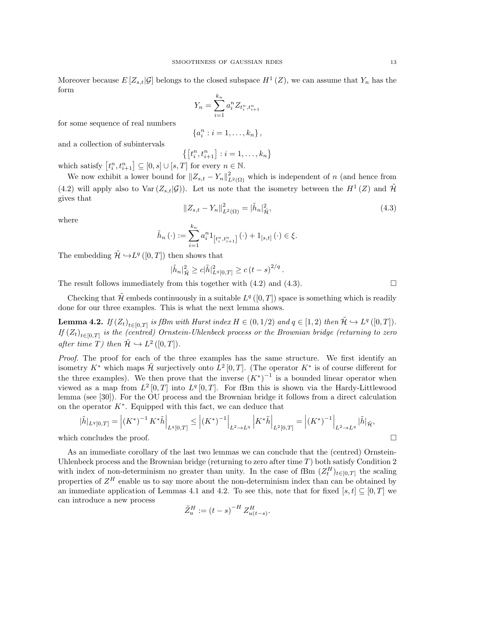Moreover because  $E[Z_{s,t}|\mathcal{G}]$  belongs to the closed subspace  $H^1(Z)$ , we can assume that  $Y_n$  has the form

$$
Y_n = \sum_{i=1}^{k_n} a_i^n Z_{t_i^n, t_{i+1}^n}
$$

for some sequence of real numbers

$$
\left\{a_i^n : i = 1, \ldots, k_n\right\},\
$$

and a collection of subintervals

$$
\left\{\left[t_i^n, t_{i+1}^n\right] : i = 1, \dots, k_n\right\}
$$
 which satisfy  $\left[t_i^n, t_{i+1}^n\right] \subseteq [0, s] \cup [s, T]$  for every  $n \in \mathbb{N}$ .

We now exhibit a lower bound for  $||Z_{s,t} - Y_n||^2_{L^2(\Omega)}$  which is independent of n (and hence from (4.2) will apply also to  $Var(Z_{s,t}|\mathcal{G})$ . Let us note that the isometry between the  $H^1(Z)$  and  $\tilde{\mathcal{H}}$ gives that

$$
||Z_{s,t} - Y_n||_{L^2(\Omega)}^2 = |\tilde{h}_n|_{\tilde{\mathcal{H}}}^2,
$$
\n(4.3)

where

$$
\tilde{h}_n(\cdot) := \sum_{i=1}^{k_n} a_i^n 1_{\left[t_i^n, t_{i+1}^n\right]}(\cdot) + 1_{[s,t]}(\cdot) \in \xi.
$$

The embedding  $\tilde{\mathcal{H}} \hookrightarrow L^q([0,T])$  then shows that

$$
|\tilde{h}_n|^2_{\tilde{\mathcal{H}}} \ge c|\tilde{h}|^2_{L^q[0,T]} \ge c (t-s)^{2/q}.
$$

The result follows immediately from this together with  $(4.2)$  and  $(4.3)$ .

Checking that  $\mathcal{\tilde{H}}$  embeds continuously in a suitable  $L^q([0,T])$  space is something which is readily done for our three examples. This is what the next lemma shows.

**Lemma 4.2.** If  $(Z_t)_{t \in [0,T]}$  is fBm with Hurst index  $H \in (0,1/2)$  and  $q \in [1,2)$  then  $\tilde{\mathcal{H}} \hookrightarrow L^q([0,T])$ . If  $(Z_t)_{t\in[0,T]}$  is the (centred) Ornstein-Uhlenbeck process or the Brownian bridge (returning to zero after time T) then  $\tilde{\mathcal{H}} \hookrightarrow L^2([0,T])$ .

Proof. The proof for each of the three examples has the same structure. We first identify an isometry  $K^*$  which maps  $\mathcal{H}$  surjectively onto  $\bar{L}^2[0,T]$ . (The operator  $K^*$  is of course different for the three examples). We then prove that the inverse  $(K^*)^{-1}$  is a bounded linear operator when viewed as a map from  $L^2[0,T]$  into  $L^q[0,T]$ . For fBm this is shown via the Hardy-Littlewood lemma (see [30]). For the OU process and the Brownian bridge it follows from a direct calculation on the operator  $K^*$ . Equipped with this fact, we can deduce that

$$
|\tilde{h}|_{L^{q}[0,T]} = |(K^*)^{-1} K^* \tilde{h}|_{L^{q}[0,T]} \le |(K^*)^{-1}|_{L^{2} \to L^{q}} |K^* \tilde{h}|_{L^{2}[0,T]} = |(K^*)^{-1}|_{L^{2} \to L^{q}} |\tilde{h}|_{\tilde{\mathcal{H}}},
$$
  
which concludes the proof.

As an immediate corollary of the last two lemmas we can conclude that the (centred) Ornstein-Uhlenbeck process and the Brownian bridge (returning to zero after time  $T$ ) both satisfy Condition 2 with index of non-determinism no greater than unity. In the case of fBm  $(Z_t^H)_{t\in[0,T]}$  the scaling properties of  $Z^H$  enable us to say more about the non-determinism index than can be obtained by an immediate application of Lemmas 4.1 and 4.2. To see this, note that for fixed [s, t]  $\subseteq$  [0, T] we can introduce a new process

$$
\tilde{Z}_u^H := (t - s)^{-H} Z_{u(t - s)}^H.
$$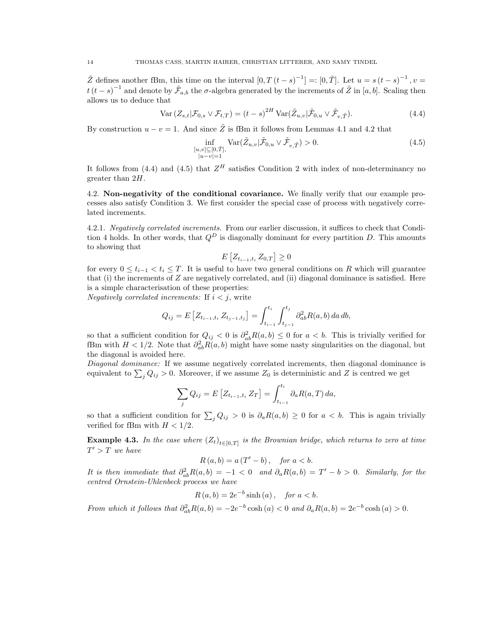$\tilde{Z}$  defines another fBm, this time on the interval  $[0, T(t-s)^{-1}] =: [0, \tilde{T}]$ . Let  $u = s(t-s)^{-1}$ ,  $v =$  $t(t-s)^{-1}$  and denote by  $\tilde{\mathcal{F}}_{a,b}$  the  $\sigma$ -algebra generated by the increments of  $\tilde{Z}$  in [a, b]. Scaling then allows us to deduce that

$$
\text{Var}\left(Z_{s,t}|\mathcal{F}_{0,s}\vee\mathcal{F}_{t,T}\right) = \left(t-s\right)^{2H}\text{Var}(\tilde{Z}_{u,v}|\tilde{\mathcal{F}}_{0,u}\vee\tilde{\mathcal{F}}_{v,\tilde{T}}). \tag{4.4}
$$

By construction  $u - v = 1$ . And since  $\tilde{Z}$  is fBm it follows from Lemmas 4.1 and 4.2 that

$$
\inf_{\substack{[u,v]\subseteq[0,\tilde{T}]\\|u-v|=1}} \text{Var}(\tilde{Z}_{u,v}|\tilde{\mathcal{F}}_{0,u}\vee\tilde{\mathcal{F}}_{v,\tilde{T}}) > 0. \tag{4.5}
$$

It follows from (4.4) and (4.5) that  $Z^H$  satisfies Condition 2 with index of non-determinancy no greater than 2H.

4.2. Non-negativity of the conditional covariance. We finally verify that our example processes also satisfy Condition 3. We first consider the special case of process with negatively correlated increments.

4.2.1. Negatively correlated increments. From our earlier discussion, it suffices to check that Condition 4 holds. In other words, that  $Q^D$  is diagonally dominant for every partition D. This amounts to showing that

$$
E\left[Z_{t_{i-1},t_i} Z_{0,T}\right] \geq 0
$$

for every  $0 \leq t_{i-1} < t_i \leq T$ . It is useful to have two general conditions on R which will guarantee that (i) the increments of  $Z$  are negatively correlated, and (ii) diagonal dominance is satisfied. Here is a simple characterisation of these properties:

*Negatively correlated increments:* If  $i < j$ , write

$$
Q_{ij} = E\left[Z_{t_{i-1},t_i} Z_{t_{j-1},t_j}\right] = \int_{t_{i-1}}^{t_i} \int_{t_{j-1}}^{t_j} \partial_{ab}^2 R(a,b) \, da \, db,
$$

so that a sufficient condition for  $Q_{ij} < 0$  is  $\partial^2_{ab} R(a, b) \leq 0$  for  $a < b$ . This is trivially verified for fBm with  $H < 1/2$ . Note that  $\partial_{ab}^2 R(a, b)$  might have some nasty singularities on the diagonal, but the diagonal is avoided here.

Diagonal dominance: If we assume negatively correlated increments, then diagonal dominance is equivalent to  $\sum_{j} Q_{ij} > 0$ . Moreover, if we assume  $Z_0$  is deterministic and Z is centred we get

$$
\sum_{j} Q_{ij} = E\left[Z_{t_{i-1}, t_i} Z_T\right] = \int_{t_{i-1}}^{t_i} \partial_a R(a, T) \, da,
$$

so that a sufficient condition for  $\sum_j Q_{ij} > 0$  is  $\partial_a R(a, b) \geq 0$  for  $a < b$ . This is again trivially verified for fBm with  $H < 1/2$ .

**Example 4.3.** In the case where  $(Z_t)_{t \in [0,T]}$  is the Brownian bridge, which returns to zero at time  $T' > T$  we have

$$
R(a,b) = a(T'-b), \quad \text{for } a < b.
$$

It is then immediate that  $\partial_{ab}^2 R(a,b) = -1 < 0$  and  $\partial_a R(a,b) = T' - b > 0$ . Similarly, for the centred Ornstein-Uhlenbeck process we have

$$
R(a,b) = 2e^{-b}\sinh(a), \quad \text{for } a < b.
$$

From which it follows that  $\partial_{ab}^2 R(a,b) = -2e^{-b} \cosh(a) < 0$  and  $\partial_a R(a,b) = 2e^{-b} \cosh(a) > 0$ .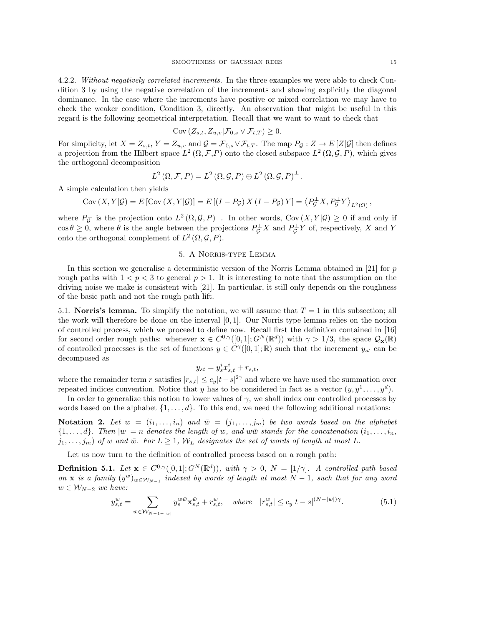4.2.2. Without negatively correlated increments. In the three examples we were able to check Condition 3 by using the negative correlation of the increments and showing explicitly the diagonal dominance. In the case where the increments have positive or mixed correlation we may have to check the weaker condition, Condition 3, directly. An observation that might be useful in this regard is the following geometrical interpretation. Recall that we want to want to check that

$$
Cov(Z_{s,t}, Z_{u,v} | \mathcal{F}_{0,s} \vee \mathcal{F}_{t,T}) \geq 0.
$$

For simplicity, let  $X = Z_{s,t}$ ,  $Y = Z_{u,v}$  and  $\mathcal{G} = \mathcal{F}_{0,s} \vee \mathcal{F}_{t,T}$ . The map  $P_{\mathcal{G}} : Z \mapsto E[Z|\mathcal{G}]$  then defines a projection from the Hilbert space  $L^2(\Omega, \mathcal{F}, P)$  onto the closed subspace  $L^2(\Omega, \mathcal{G}, P)$ , which gives the orthogonal decomposition

$$
L^{2}(\Omega,\mathcal{F},P)=L^{2}(\Omega,\mathcal{G},P)\oplus L^{2}(\Omega,\mathcal{G},P)^{\perp}.
$$

A simple calculation then yields

$$
Cov(X, Y | \mathcal{G}) = E [Cov(X, Y | \mathcal{G})] = E [(I - P_{\mathcal{G}}) X (I - P_{\mathcal{G}}) Y] = \langle P_{\mathcal{G}}^{\perp} X, P_{\mathcal{G}}^{\perp} Y \rangle_{L^2(\Omega)},
$$

where  $P_{\mathcal{G}}^{\perp}$  is the projection onto  $L^2(\Omega,\mathcal{G},P)^{\perp}$ . In other words, Cov $(X,Y|\mathcal{G})\geq 0$  if and only if  $\cos \theta \geq 0$ , where  $\theta$  is the angle between the projections  $P_{\mathcal{G}}^{\perp} X$  and  $P_{\mathcal{G}}^{\perp} Y$  of, respectively, X and Y onto the orthogonal complement of  $L^2(\Omega, \mathcal{G}, P)$ .

# 5. A Norris-type Lemma

In this section we generalise a deterministic version of the Norris Lemma obtained in  $[21]$  for p rough paths with  $1 < p < 3$  to general  $p > 1$ . It is interesting to note that the assumption on the driving noise we make is consistent with [21]. In particular, it still only depends on the roughness of the basic path and not the rough path lift.

5.1. **Norris's lemma.** To simplify the notation, we will assume that  $T = 1$  in this subsection; all the work will therefore be done on the interval [0, 1]. Our Norris type lemma relies on the notion of controlled process, which we proceed to define now. Recall first the definition contained in [16] for second order rough paths: whenever  $\mathbf{x} \in C^{0,\gamma}([0,1];G^N(\mathbb{R}^d))$  with  $\gamma > 1/3$ , the space  $\mathcal{Q}_{\mathbf{x}}(\mathbb{R})$ of controlled processes is the set of functions  $y \in C^{\gamma}([0,1];\mathbb{R})$  such that the increment  $y_{st}$  can be decomposed as

$$
y_{st} = y_s^i x_{s,t}^i + r_{s,t},
$$

where the remainder term r satisfies  $|r_{s,t}| \leq c_y |t-s|^{2\gamma}$  and where we have used the summation over repeated indices convention. Notice that y has to be considered in fact as a vector  $(y, y^1, \ldots, y^d)$ .

In order to generalize this notion to lower values of  $\gamma$ , we shall index our controlled processes by words based on the alphabet  $\{1, \ldots, d\}$ . To this end, we need the following additional notations:

Notation 2. Let  $w = (i_1, \ldots, i_n)$  and  $\overline{w} = (j_1, \ldots, j_m)$  be two words based on the alphabet  ${1, \ldots, d}$ . Then  $|w| = n$  denotes the length of w, and ww $\bar{w}$  stands for the concatenation  $(i_1, \ldots, i_n)$ ,  $j_1, \ldots, j_m$  of w and  $\bar{w}$ . For  $L \geq 1$ ,  $W_L$  designates the set of words of length at most L.

Let us now turn to the definition of controlled process based on a rough path:

**Definition 5.1.** Let  $\mathbf{x} \in C^{0,\gamma}([0,1];G^N(\mathbb{R}^d))$ , with  $\gamma > 0$ ,  $N = \lfloor 1/\gamma \rfloor$ . A controlled path based on x is a family  $(y^w)_{w \in \mathcal{W}_{N-1}}$  indexed by words of length at most  $N-1$ , such that for any word  $w \in \mathcal{W}_{N-2}$  we have:

$$
y_{s,t}^w = \sum_{\bar{w} \in \mathcal{W}_{N-1-|w|}} y_s^{w\bar{w}} \mathbf{x}_{s,t}^{\bar{w}} + r_{s,t}^w, \quad \text{where} \quad |r_{s,t}^w| \le c_y |t-s|^{(N-|w|)\gamma}.
$$
 (5.1)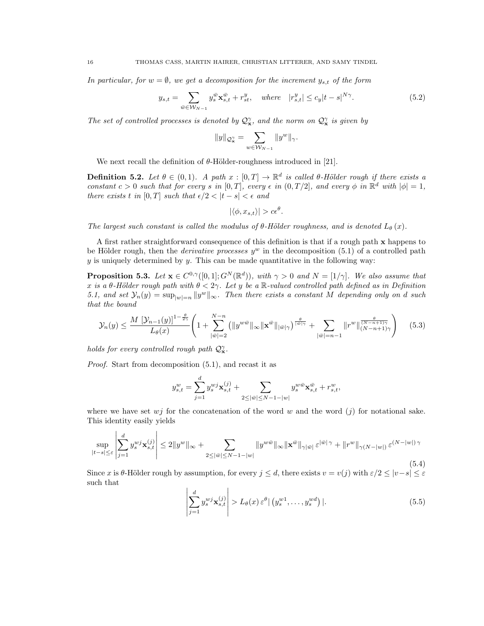In particular, for  $w = \emptyset$ , we get a decomposition for the increment  $y_{s,t}$  of the form

$$
y_{s,t} = \sum_{\bar{w} \in \mathcal{W}_{N-1}} y_s^{\bar{w}} \mathbf{x}_{s,t}^{\bar{w}} + r_{st}^y, \quad \text{where} \quad |r_{s,t}^y| \le c_y |t-s|^{N\gamma}.
$$
 (5.2)

The set of controlled processes is denoted by  $\mathcal{Q}_x^{\gamma}$ , and the norm on  $\mathcal{Q}_x^{\gamma}$  is given by

$$
||y||_{\mathcal{Q}_{\mathbf{x}}^{\gamma}} = \sum_{w \in \mathcal{W}_{N-1}} ||y^w||_{\gamma}.
$$

We next recall the definition of  $\theta$ -Hölder-roughness introduced in [21].

**Definition 5.2.** Let  $\theta \in (0,1)$ . A path  $x : [0,T] \to \mathbb{R}^d$  is called  $\theta$ -Hölder rough if there exists a constant  $c > 0$  such that for every s in  $[0, T]$ , every  $\epsilon$  in  $(0, T/2]$ , and every  $\phi$  in  $\mathbb{R}^d$  with  $|\phi| = 1$ , there exists t in [0, T] such that  $\epsilon/2 < |t - s| < \epsilon$  and

$$
|\langle \phi, x_{s,t} \rangle| > c\epsilon^{\theta}.
$$

The largest such constant is called the modulus of  $\theta$ -Hölder roughness, and is denoted  $L_{\theta}(x)$ .

A first rather straightforward consequence of this definition is that if a rough path x happens to be Hölder rough, then the *derivative processes*  $y^w$  in the decomposition (5.1) of a controlled path  $y$  is uniquely determined by  $y$ . This can be made quantitative in the following way:

**Proposition 5.3.** Let  $\mathbf{x} \in C^{0,\gamma}([0,1];G^N(\mathbb{R}^d))$ , with  $\gamma > 0$  and  $N = \lfloor 1/\gamma \rfloor$ . We also assume that x is a θ-Hölder rough path with  $\theta < 2\gamma$ . Let y be a R-valued controlled path defined as in Definition 5.1, and set  $\mathcal{Y}_n(y) = \sup_{|w|=n} ||y^w||_{\infty}$ . Then there exists a constant M depending only on d such that the bound

$$
\mathcal{Y}_n(y) \le \frac{M \left[\mathcal{Y}_{n-1}(y)\right]^{1-\frac{\theta}{2\gamma}}}{L_{\theta}(x)} \left(1 + \sum_{|\bar{w}|=2}^{N-n} \left(\|y^{w\bar{w}}\|_{\infty} \|\mathbf{x}^{\bar{w}}\|_{|\bar{w}|\gamma}\right)^{\frac{\theta}{|\bar{w}|\gamma}} + \sum_{|\bar{w}|=n-1} \|r^w\|_{(N-n+1)\gamma}^{\frac{\theta}{(N-n+1)\gamma}}\right) \tag{5.3}
$$

holds for every controlled rough path  $\mathcal{Q}_{\mathbf{x}}^{\gamma}$ .

 $\sim 10$ 

Proof. Start from decomposition (5.1), and recast it as

$$
y_{s,t}^w = \sum_{j=1}^d y_s^{wj} \mathbf{x}_{s,t}^{(j)} + \sum_{2 \leq |\bar{w}| \leq N-1 - |w|} y_s^{w\bar{w}} \mathbf{x}_{s,t}^{\bar{w}} + r_{s,t}^w,
$$

where we have set  $w_j$  for the concatenation of the word w and the word  $(j)$  for notational sake. This identity easily yields

$$
\sup_{|t-s|\leq \varepsilon} \left| \sum_{j=1}^d y_s^{wj} \mathbf{x}_{s,t}^{(j)} \right| \leq 2 \|y^w\|_{\infty} + \sum_{2 \leq |\bar{w}| \leq N-1 - |w|} \|y^{w\bar{w}}\|_{\infty} \|\mathbf{x}^{\bar{w}}\|_{\gamma|\bar{w}|} \varepsilon^{|\bar{w}|\gamma} + \|r^w\|_{\gamma(N-|w|)} \varepsilon^{(N-|w|)\gamma} \tag{5.4}
$$

Since x is θ-Hölder rough by assumption, for every  $j \leq d$ , there exists  $v = v(j)$  with  $\varepsilon/2 \leq |v-s| \leq \varepsilon$ such that

$$
\left| \sum_{j=1}^{d} y_s^{wj} \mathbf{x}_{s,t}^{(j)} \right| > L_{\theta}(x) \, \varepsilon^{\theta} \left| \left( y_s^{w1}, \dots, y_s^{wd} \right) \right|.
$$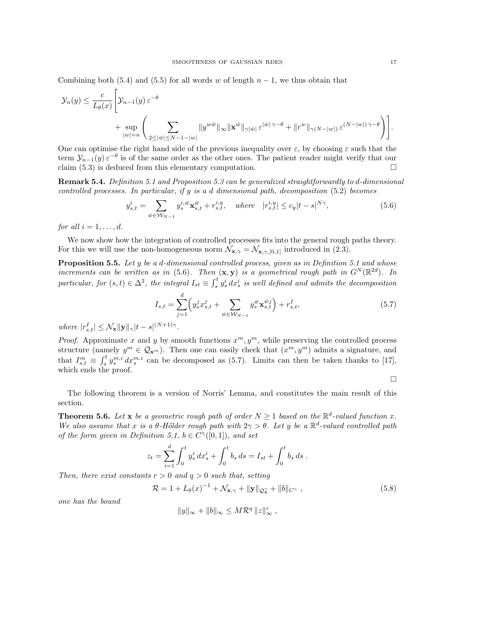Combining both (5.4) and (5.5) for all words w of length  $n-1$ , we thus obtain that

$$
\mathcal{Y}_n(y) \leq \frac{c}{L_{\theta}(x)} \Bigg[ \mathcal{Y}_{n-1}(y) \, \varepsilon^{-\theta} \times \frac{1}{|w| - n} \Big( \sum_{2 \leq |\bar{w}| \leq N-1 - |w|} \|y^{w\bar{w}}\|_{\infty} \|\mathbf{x}^{\bar{w}}\|_{\gamma|\bar{w}|} \, \varepsilon^{|\bar{w}| \, \gamma - \theta} + \|r^w\|_{\gamma(N-|w|)} \, \varepsilon^{(N-|w|) \, \gamma - \theta} \Bigg) \Bigg].
$$

One can optimise the right hand side of the previous inequality over  $\varepsilon$ , by choosing  $\varepsilon$  such that the term  $\mathcal{Y}_{n-1}(y) \varepsilon^{-\theta}$  is of the same order as the other ones. The patient reader might verify that our claim  $(5.3)$  is deduced from this elementary computation.

Remark 5.4. Definition 5.1 and Proposition 5.3 can be generalized straightforwardly to d-dimensional controlled processes. In particular, if y is a d dimensional path, decomposition (5.2) becomes

$$
y_{s,t}^{i} = \sum_{\bar{w} \in \mathcal{W}_{N-1}} y_s^{i, \bar{w}} \mathbf{x}_{s,t}^{\bar{w}} + r_{s,t}^{i, y}, \quad \text{where} \quad |r_{s,t}^{i, y}| \le c_y |t - s|^{N\gamma}, \tag{5.6}
$$

for all  $i = 1, \ldots, d$ .

We now show how the integration of controlled processes fits into the general rough paths theory. For this we will use the non-homogeneous norm  $\mathcal{N}_{\mathbf{x},\gamma} = \mathcal{N}_{\mathbf{x},\gamma,[0,1]}$  introduced in (2.3).

**Proposition 5.5.** Let  $y$  be a d-dimensional controlled process, given as in Definition 5.1 and whose increments can be written as in (5.6). Then  $(x, y)$  is a geometrical rough path in  $G^N(\mathbb{R}^{2d})$ . In particular, for  $(s,t) \in \Delta^2$ , the integral  $I_{st} \equiv \int_s^t y_s^i dx_s^i$  is well defined and admits the decomposition

$$
I_{s,t} = \sum_{j=1}^{d} \left( y_s^j x_{s,t}^j + \sum_{\bar{w} \in \mathcal{W}_{N-1}} y_s^{\bar{w}} \mathbf{x}_{s,t}^{\bar{w}j} \right) + r_{s,t}^I,
$$
\n(5.7)

where  $|r_{s,t}^I| \leq \mathcal{N}_{\mathbf{x}} ||\mathbf{y}||_{\gamma} |t-s|^{(N+1)\gamma}$ .

*Proof.* Approximate x and y by smooth functions  $x^m, y^m$ , while preserving the controlled process structure (namely  $y^m \in \mathcal{Q}_{\mathbf{x}^m}$ ). Then one can easily check that  $(x^m, y^m)$  admits a signature, and that  $I_{s,t}^m \equiv \int_s^t y_s^{m,i} dx_s^{m,i}$  can be decomposed as (5.7). Limits can then be taken thanks to [17], which ends the proof.

 $\Box$ 

The following theorem is a version of Norris' Lemma, and constitutes the main result of this section.

**Theorem 5.6.** Let **x** be a geometric rough path of order  $N \ge 1$  based on the  $\mathbb{R}^d$ -valued function x. We also assume that x is a  $\theta$ -Hölder rough path with  $2\gamma > \theta$ . Let y be a  $\mathbb{R}^d$ -valued controlled path of the form given in Definition 5.1,  $b \in C^{\gamma}([0,1])$ , and set

$$
z_t = \sum_{i=1}^d \int_0^t y_s^i dx_s^i + \int_0^t b_s ds = I_{st} + \int_0^t b_s ds.
$$

Then, there exist constants  $r > 0$  and  $q > 0$  such that, setting

$$
\mathcal{R} = 1 + L_{\theta}(x)^{-1} + \mathcal{N}_{\mathbf{x}, \gamma} + \|\mathbf{y}\|_{\mathcal{Q}_{\mathbf{x}}^{\gamma}} + \|b\|_{C^{\gamma}},
$$
\n(5.8)

one has the bound

$$
||y||_{\infty} + ||b||_{\infty} \le M\mathcal{R}^q ||z||_{\infty}^r
$$
,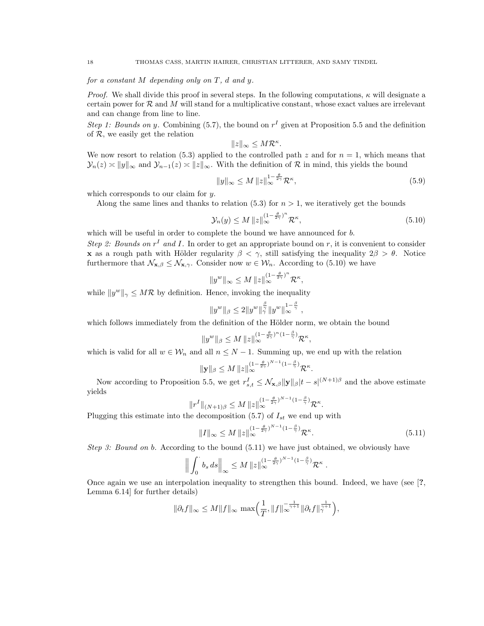# for a constant  $M$  depending only on  $T$ , d and  $y$ .

*Proof.* We shall divide this proof in several steps. In the following computations,  $\kappa$  will designate a certain power for  $\mathcal R$  and M will stand for a multiplicative constant, whose exact values are irrelevant and can change from line to line.

Step 1: Bounds on y. Combining (5.7), the bound on  $r<sup>I</sup>$  given at Proposition 5.5 and the definition of  $R$ , we easily get the relation

$$
||z||_{\infty} \le M\mathcal{R}^{\kappa}.
$$

We now resort to relation (5.3) applied to the controlled path z and for  $n = 1$ , which means that  $\mathcal{Y}_n(z) \asymp ||y||_{\infty}$  and  $\mathcal{Y}_{n-1}(z) \asymp ||z||_{\infty}$ . With the definition of R in mind, this yields the bound

$$
||y||_{\infty} \le M ||z||_{\infty}^{1 - \frac{\theta}{2\gamma}} \mathcal{R}^{\kappa},\tag{5.9}
$$

which corresponds to our claim for y.

Along the same lines and thanks to relation (5.3) for  $n > 1$ , we iteratively get the bounds

$$
\mathcal{Y}_n(y) \le M \left\| z \right\|_{\infty}^{(1 - \frac{\theta}{2\gamma})^n} \mathcal{R}^\kappa,\tag{5.10}
$$

which will be useful in order to complete the bound we have announced for  $b$ .

Step 2: Bounds on  $r<sup>I</sup>$  and I. In order to get an appropriate bound on r, it is convenient to consider **x** as a rough path with Hölder regularity  $\beta < \gamma$ , still satisfying the inequality  $2\beta > \theta$ . Notice furthermore that  $\mathcal{N}_{\mathbf{x},\beta} \leq \mathcal{N}_{\mathbf{x},\gamma}$ . Consider now  $w \in \mathcal{W}_n$ . According to (5.10) we have

$$
||y^w||_{\infty} \leq M ||z||_{\infty}^{(1-\frac{\theta}{2\gamma})^n} \mathcal{R}^{\kappa},
$$

while  $||y^w||_{\gamma} \leq M\mathcal{R}$  by definition. Hence, invoking the inequality

$$
||y^w||_{\beta} \le 2||y^w||_{\gamma}^{\frac{\beta}{\gamma}}||y^w||_{\infty}^{1-\frac{\beta}{\gamma}},
$$

which follows immediately from the definition of the Hölder norm, we obtain the bound

$$
||y^w||_{\beta} \le M ||z||_{\infty}^{(1-\frac{\theta}{2\gamma})^n(1-\frac{\beta}{\gamma})} \mathcal{R}^{\kappa},
$$

which is valid for all  $w \in \mathcal{W}_n$  and all  $n \leq N - 1$ . Summing up, we end up with the relation

$$
\|\mathbf{y}\|_{\beta} \leq M \|z\|_{\infty}^{(1-\frac{\theta}{2\gamma})^{N-1}(1-\frac{\beta}{\gamma})}\mathcal{R}^{\kappa}
$$

Now according to Proposition 5.5, we get  $r_{s,t}^I \leq \mathcal{N}_{\mathbf{x},\beta} ||\mathbf{y}||_\beta |t-s|^{(N+1)\beta}$  and the above estimate yields

$$
||r^I||_{(N+1)\beta} \leq M ||z||_{\infty}^{(1-\frac{\theta}{2\gamma})^{N-1}(1-\frac{\beta}{\gamma})} \mathcal{R}^{\kappa}.
$$

Plugging this estimate into the decomposition (5.7) of  $I_{st}$  we end up with

$$
||I||_{\infty} \le M ||z||_{\infty}^{(1-\frac{\theta}{2\gamma})^{N-1}(1-\frac{\beta}{\gamma})} \mathcal{R}^{\kappa}.
$$
\n
$$
(5.11)
$$

.

Step 3: Bound on b. According to the bound  $(5.11)$  we have just obtained, we obviously have

$$
\Big\|\int_0^{\cdot} b_s ds\Big\|_{\infty} \leq M \|z\|_{\infty}^{(1-\frac{\theta}{2\gamma})^{N-1}(1-\frac{\beta}{\gamma})}\mathcal{R}^{\kappa}.
$$

Once again we use an interpolation inequality to strengthen this bound. Indeed, we have (see [?, Lemma 6.14] for further details)

$$
\|\partial_t f\|_\infty \leq M \|f\|_\infty \, \max\left(\frac{1}{T}, \|f\|_\infty^{-\frac{1}{\gamma+1}} \|\partial_t f\|_\gamma^{\frac{1}{\gamma+1}}\right),
$$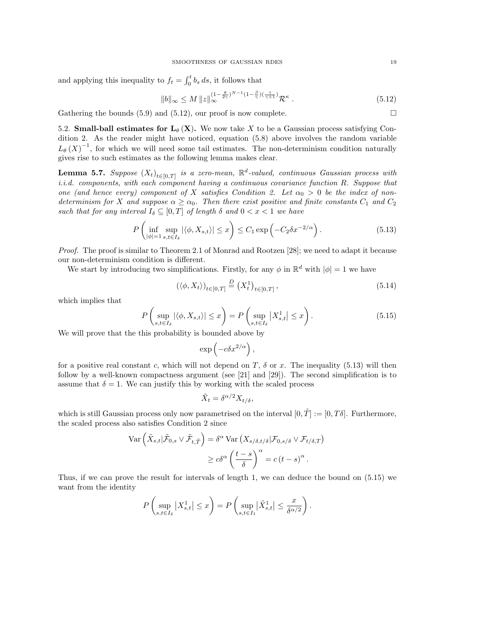and applying this inequality to  $f_t = \int_0^t b_s ds$ , it follows that

$$
||b||_{\infty} \le M ||z||_{\infty}^{(1-\frac{\theta}{2\gamma})^{N-1}(1-\frac{\beta}{\gamma})(\frac{\gamma}{\gamma+1})} \mathcal{R}^{\kappa} . \tag{5.12}
$$

Gathering the bounds  $(5.9)$  and  $(5.12)$ , our proof is now complete.

5.2. Small-ball estimates for  $L_{\theta} (X)$ . We now take X to be a Gaussian process satisfying Condition 2. As the reader might have noticed, equation (5.8) above involves the random variable  $L_{\theta}(X)^{-1}$ , for which we will need some tail estimates. The non-determinism condition naturally gives rise to such estimates as the following lemma makes clear.

**Lemma 5.7.** Suppose  $(X_t)_{t \in [0,T]}$  is a zero-mean,  $\mathbb{R}^d$ -valued, continuous Gaussian process with i.i.d. components, with each component having a continuous covariance function  $R$ . Suppose that one (and hence every) component of X satisfies Condition 2. Let  $\alpha_0 > 0$  be the index of nondeterminism for X and suppose  $\alpha \geq \alpha_0$ . Then there exist positive and finite constants  $C_1$  and  $C_2$ such that for any interval  $I_{\delta} \subseteq [0,T]$  of length  $\delta$  and  $0 < x < 1$  we have

$$
P\left(\inf_{|\phi|=1} \sup_{s,t\in I_{\delta}} |\langle \phi, X_{s,t}\rangle| \leq x\right) \leq C_1 \exp\left(-C_2 \delta x^{-2/\alpha}\right). \tag{5.13}
$$

Proof. The proof is similar to Theorem 2.1 of Monrad and Rootzen [28]; we need to adapt it because our non-determinism condition is different.

We start by introducing two simplifications. Firstly, for any  $\phi$  in  $\mathbb{R}^d$  with  $|\phi|=1$  we have

$$
\left(\langle \phi, X_t \rangle \right)_{t \in [0,T]} \stackrel{D}{=} \left(X_t^1\right)_{t \in [0,T]},\tag{5.14}
$$

which implies that

$$
P\left(\sup_{s,t\in I_{\delta}}|\langle \phi, X_{s,t}\rangle| \leq x\right) = P\left(\sup_{s,t\in I_{\delta}}|X_{s,t}^{1}| \leq x\right). \tag{5.15}
$$

We will prove that the this probability is bounded above by

$$
\exp\left(-c\delta x^{2/\alpha}\right),\,
$$

for a positive real constant c, which will not depend on T,  $\delta$  or x. The inequality (5.13) will then follow by a well-known compactness argument (see [21] and [29]). The second simplification is to assume that  $\delta = 1$ . We can justify this by working with the scaled process

$$
\tilde{X}_t = \delta^{\alpha/2} X_{t/\delta},
$$

which is still Gaussian process only now parametrised on the interval  $[0, \tilde{T}] := [0, T\delta]$ . Furthermore, the scaled process also satisfies Condition 2 since

$$
\operatorname{Var}\left(\tilde{X}_{s,t}|\tilde{\mathcal{F}}_{0,s} \vee \tilde{\mathcal{F}}_{t,\tilde{T}}\right) = \delta^{\alpha} \operatorname{Var}\left(X_{s/\delta,t/\delta}|\mathcal{F}_{0,s/\delta} \vee \mathcal{F}_{t/\delta,T}\right)
$$

$$
\geq c\delta^{\alpha} \left(\frac{t-s}{\delta}\right)^{\alpha} = c(t-s)^{\alpha}.
$$

Thus, if we can prove the result for intervals of length 1, we can deduce the bound on (5.15) we want from the identity

$$
P\left(\sup_{s,t\in I_{\delta}}|X_{s,t}^1|\leq x\right)=P\left(\sup_{s,t\in I_1}|\tilde{X}_{s,t}^1|\leq \frac{x}{\delta^{\alpha/2}}\right).
$$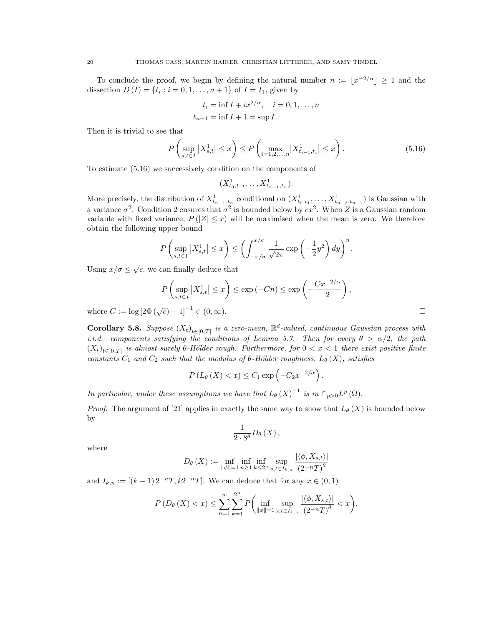To conclude the proof, we begin by defining the natural number  $n := |x^{-2/\alpha}| \geq 1$  and the dissection  $D(I) = \{t_i : i = 0, 1, ..., n+1\}$  of  $I = I_1$ , given by

$$
t_i = \inf I + ix^{2/\alpha}, \quad i = 0, 1, ..., n
$$
  
 $t_{n+1} = \inf I + 1 = \sup I.$ 

Then it is trivial to see that

$$
P\left(\sup_{s,t\in I}|X_{s,t}^1| \le x\right) \le P\left(\max_{i=1,2,\dots,n}|X_{t_{i-1},t_i}^1| \le x\right). \tag{5.16}
$$

To estimate (5.16) we successively condition on the components of

$$
(X_{t_0,t_1}^1,\ldots,X_{t_{n-1},t_n}^1).
$$

More precisely, the distribution of  $X_{t_{n-1},t_n}^1$  conditional on  $(X_{t_0,t_1}^1,\ldots,X_{t_{n-2},t_{n-1}}^1)$  is Gaussian with a variance  $\sigma^2$ . Condition 2 ensures that  $\sigma^2$  is bounded below by  $cx^2$ . When Z is a Gaussian random variable with fixed variance,  $P(|Z| \leq x)$  will be maximised when the mean is zero. We therefore obtain the following upper bound

$$
P\left(\sup_{s,t\in I}|X_{s,t}^1|\leq x\right)\leq \left(\int_{-x/\sigma}^{x/\sigma}\frac{1}{\sqrt{2\pi}}\exp\left(-\frac{1}{2}y^2\right)dy\right)^n.
$$

Using  $x/\sigma \leq \sqrt{c}$ , we can finally deduce that

$$
P\left(\sup_{s,t\in I}|X_{s,t}^1| \le x\right) \le \exp\left(-Cn\right) \le \exp\left(-\frac{Cx^{-2/\alpha}}{2}\right),
$$
  

$$
|\overline{C}| - 1|^{-1} \in (0,\infty).
$$

where  $C := \log [2\Phi(\sqrt{c})]$ 

**Corollary 5.8.** Suppose  $(X_t)_{t \in [0,T]}$  is a zero-mean,  $\mathbb{R}^d$ -valued, continuous Gaussian process with i.i.d. components satisfying the conditions of Lemma 5.7. Then for every  $\theta > \alpha/2$ , the path  $(X_t)_{t\in[0,T]}$  is almost surely  $\theta$ -Hölder rough. Furthermore, for  $0 < x < 1$  there exist positive finite constants  $C_1$  and  $C_2$  such that the modulus of  $\theta$ -Hölder roughness,  $L_{\theta}(X)$ , satisfies

$$
P(L_{\theta}(X) < x) \leq C_1 \exp\left(-C_2 x^{-2/\alpha}\right).
$$

In particular, under these assumptions we have that  $L_{\theta}(X)^{-1}$  is in  $\cap_{p>0} L^p(\Omega)$ .

*Proof.* The argument of [21] applies in exactly the same way to show that  $L_{\theta}(X)$  is bounded below by

$$
\frac{1}{2\cdot 8^{\theta}}D_{\theta}\left( X\right) ,
$$

where

$$
D_{\theta}\left(X\right) := \inf_{\left\|\phi\right\|=1} \inf_{n\geq 1} \inf_{k\leq 2^n} \sup_{s,t\in I_{k,n}} \frac{\left|\left\langle \phi, X_{s,t}\right\rangle\right|}{\left(2^{-n}T\right)^{\theta}}
$$

and  $I_{k,n} := [(k-1) 2^{-n} T, k2^{-n} T]$ . We can deduce that for any  $x \in (0,1)$ 

$$
P(D_{\theta}(X) < x) \le \sum_{n=1}^{\infty} \sum_{k=1}^{2^n} P\bigg(\inf_{\|\phi\|=1} \sup_{s,t \in I_{k,n}} \frac{|\langle \phi, X_{s,t} \rangle|}{(2^{-n}T)^{\theta}} < x\bigg),
$$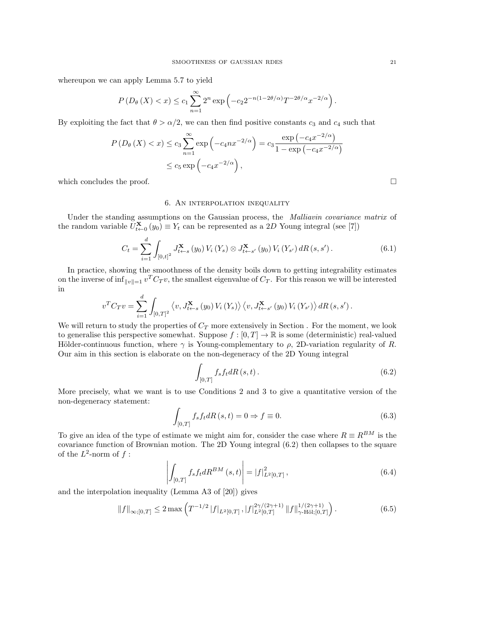whereupon we can apply Lemma 5.7 to yield

$$
P\left(D_{\theta}\left(X\right)
$$

By exploiting the fact that  $\theta > \alpha/2$ , we can then find positive constants  $c_3$  and  $c_4$  such that

$$
P(D_{\theta}(X) < x) \le c_3 \sum_{n=1}^{\infty} \exp\left(-c_4 n x^{-2/\alpha}\right) = c_3 \frac{\exp\left(-c_4 x^{-2/\alpha}\right)}{1 - \exp\left(-c_4 x^{-2/\alpha}\right)}
$$
\n
$$
\le c_5 \exp\left(-c_4 x^{-2/\alpha}\right),
$$

which concludes the proof.  $\Box$ 

### 6. An interpolation inequality

Under the standing assumptions on the Gaussian process, the Malliavin covariance matrix of the random variable  $U_{t\leftarrow 0}^{\mathbf{X}}(y_0) \equiv Y_t$  can be represented as a 2D Young integral (see [7])

$$
C_{t} = \sum_{i=1}^{d} \int_{[0,t]^{2}} J_{t \leftarrow s}^{\mathbf{X}}(y_{0}) V_{i}(Y_{s}) \otimes J_{t \leftarrow s'}^{\mathbf{X}}(y_{0}) V_{i}(Y_{s'}) dR(s, s'). \tag{6.1}
$$

In practice, showing the smoothness of the density boils down to getting integrability estimates on the inverse of  $\inf_{\|v\|=1} v^T C_T v$ , the smallest eigenvalue of  $C_T$ . For this reason we will be interested in

$$
v^{T}C_{T}v = \sum_{i=1}^{d} \int_{[0,T]^{2}} \left\langle v, J_{t \leftarrow s}^{\mathbf{X}}\left(y_{0}\right) V_{i}\left(Y_{s}\right) \right\rangle\left\langle v, J_{t \leftarrow s'}^{\mathbf{X}}\left(y_{0}\right) V_{i}\left(Y_{s'}\right) \right\rangle dR\left(s, s'\right).
$$

We will return to study the properties of  $C_T$  more extensively in Section . For the moment, we look to generalise this perspective somewhat. Suppose  $f : [0, T] \to \mathbb{R}$  is some (deterministic) real-valued Hölder-continuous function, where  $\gamma$  is Young-complementary to  $\rho$ , 2D-variation regularity of R. Our aim in this section is elaborate on the non-degeneracy of the 2D Young integral

$$
\int_{[0,T]} f_s f_t dR\left(s,t\right). \tag{6.2}
$$

More precisely, what we want is to use Conditions 2 and 3 to give a quantitative version of the non-degeneracy statement:

$$
\int_{[0,T]} f_s f_t dR(s,t) = 0 \Rightarrow f \equiv 0.
$$
\n(6.3)

To give an idea of the type of estimate we might aim for, consider the case where  $R = R^{BM}$  is the covariance function of Brownian motion. The 2D Young integral (6.2) then collapses to the square of the  $L^2$ -norm of  $f$ :

$$
\left| \int_{[0,T]} f_s f_t dR^{BM} (s,t) \right| = |f|^2_{L^2[0,T]}, \tag{6.4}
$$

and the interpolation inequality (Lemma A3 of [20]) gives

$$
\|f\|_{\infty;[0,T]} \le 2 \max \left( T^{-1/2} \left|f\right|_{L^2[0,T]}, \left|f\right|_{L^2[0,T]}^{2\gamma/(2\gamma+1)} \left\|f\right\|_{\gamma-\text{H\"ol};[0,T]}^{1/(2\gamma+1)} \right). \tag{6.5}
$$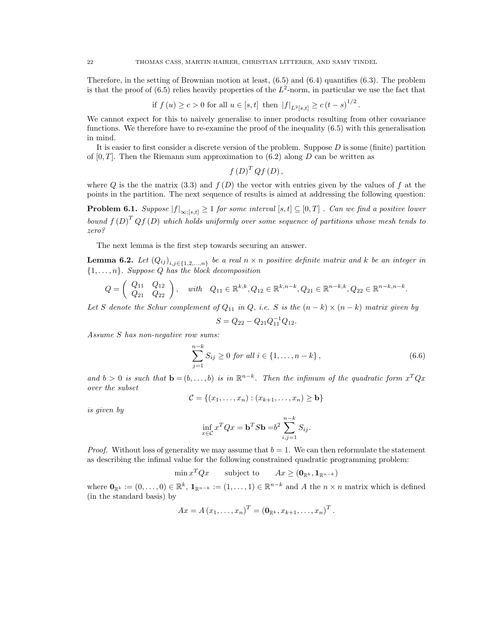Therefore, in the setting of Brownian motion at least, (6.5) and (6.4) quantifies (6.3). The problem is that the proof of  $(6.5)$  relies heavily properties of the  $L^2$ -norm, in particular we use the fact that

if 
$$
f(u) \ge c > 0
$$
 for all  $u \in [s, t]$  then  $|f|_{L^2[s, t]} \ge c(t - s)^{1/2}$ .

We cannot expect for this to naively generalise to inner products resulting from other covariance functions. We therefore have to re-examine the proof of the inequality (6.5) with this generalisation in mind.

It is easier to first consider a discrete version of the problem. Suppose  $D$  is some (finite) partition of  $[0, T]$ . Then the Riemann sum approximation to  $(6.2)$  along D can be written as

$$
f\left( D\right) ^{T}Qf\left( D\right) ,
$$

where Q is the the matrix (3.3) and  $f(D)$  the vector with entries given by the values of f at the points in the partition. The next sequence of results is aimed at addressing the following question:

**Problem 6.1.** Suppose  $|f|_{\infty,[s,t]} \geq 1$  for some interval  $[s,t] \subseteq [0,T]$  . Can we find a positive lower bound  $f(D)^T Q f(D)$  which holds uniformly over some sequence of partitions whose mesh tends to zero?

The next lemma is the first step towards securing an answer.

**Lemma 6.2.** Let  $(Q_{ij})_{i,j\in\{1,2,...,n\}}$  be a real  $n \times n$  positive definite matrix and k be an integer in  $\{1, \ldots, n\}$ . Suppose Q has the block decomposition

$$
Q = \begin{pmatrix} Q_{11} & Q_{12} \\ Q_{21} & Q_{22} \end{pmatrix}, \quad with \quad Q_{11} \in \mathbb{R}^{k,k}, Q_{12} \in \mathbb{R}^{k,n-k}, Q_{21} \in \mathbb{R}^{n-k,k}, Q_{22} \in \mathbb{R}^{n-k,n-k}.
$$

Let S denote the Schur complement of  $Q_{11}$  in  $Q$ , i.e. S is the  $(n-k) \times (n-k)$  matrix given by

$$
S = Q_{22} - Q_{21}Q_{11}^{-1}Q_{12}.
$$

Assume S has non-negative row sums:

$$
\sum_{j=1}^{n-k} S_{ij} \ge 0 \text{ for all } i \in \{1, \dots, n-k\},\tag{6.6}
$$

and  $b > 0$  is such that  $\mathbf{b} = (b, \ldots, b)$  is in  $\mathbb{R}^{n-k}$ . Then the infimum of the quadratic form  $x^T Q x$ over the subset

$$
\mathcal{C} = \{(x_1,\ldots,x_n) : (x_{k+1},\ldots,x_n) \geq \mathbf{b}\}
$$

is given by

$$
\inf_{x \in \mathcal{C}} x^T Q x = \mathbf{b}^T S \mathbf{b} = b^2 \sum_{i,j=1}^{n-k} S_{ij}.
$$

*Proof.* Without loss of generality we may assume that  $b = 1$ . We can then reformulate the statement as describing the infimal value for the following constrained quadratic programming problem:

> $\min x^T Q x$ subject to  $Ax \ge (\mathbf{0}_{\mathbb{R}^k}, \mathbf{1}_{\mathbb{R}^{n-k}})$

where  $\mathbf{0}_{\mathbb{R}^k} := (0, \ldots, 0) \in \mathbb{R}^k$ ,  $\mathbf{1}_{\mathbb{R}^{n-k}} := (1, \ldots, 1) \in \mathbb{R}^{n-k}$  and A the  $n \times n$  matrix which is defined (in the standard basis) by

$$
Ax = A(x_1, \ldots, x_n)^T = (\mathbf{0}_{\mathbb{R}^k}, x_{k+1}, \ldots, x_n)^T.
$$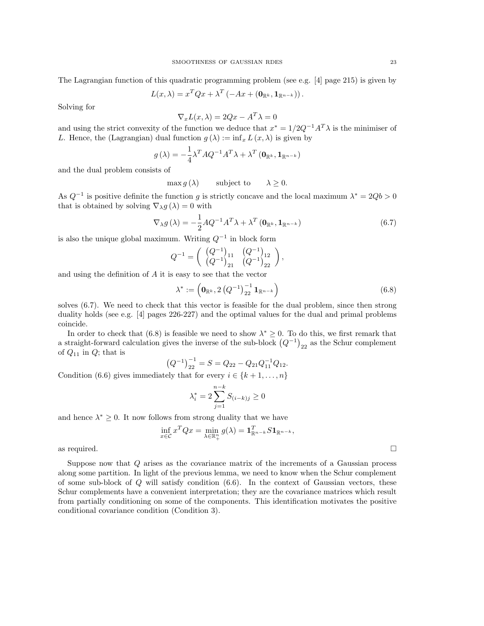The Lagrangian function of this quadratic programming problem (see e.g. [4] page 215) is given by

$$
L(x,\lambda) = x^T Q x + \lambda^T \left( -Ax + (\mathbf{0}_{\mathbb{R}^k}, \mathbf{1}_{\mathbb{R}^{n-k}}) \right).
$$

Solving for

$$
\nabla_x L(x,\lambda) = 2Qx - A^T \lambda = 0
$$

and using the strict convexity of the function we deduce that  $x^* = 1/2Q^{-1}A^T\lambda$  is the minimiser of L. Hence, the (Lagrangian) dual function  $g(\lambda) := \inf_x L(x, \lambda)$  is given by

$$
g(\lambda) = -\frac{1}{4}\lambda^T A Q^{-1} A^T \lambda + \lambda^T (\mathbf{0}_{\mathbb{R}^k}, \mathbf{1}_{\mathbb{R}^{n-k}})
$$

and the dual problem consists of

$$
\max g(\lambda) \qquad \text{subject to} \qquad \lambda \ge 0.
$$

As  $Q^{-1}$  is positive definite the function g is strictly concave and the local maximum  $\lambda^* = 2Qb > 0$ that is obtained by solving  $\nabla_{\lambda} g(\lambda) = 0$  with

$$
\nabla_{\lambda} g\left(\lambda\right) = -\frac{1}{2} A Q^{-1} A^T \lambda + \lambda^T \left(\mathbf{0}_{\mathbb{R}^k}, \mathbf{1}_{\mathbb{R}^{n-k}}\right) \tag{6.7}
$$

is also the unique global maximum. Writing  $Q^{-1}$  in block form

$$
Q^{-1} = \begin{pmatrix} (Q^{-1})_{11} & (Q^{-1})_{12} \\ (Q^{-1})_{21} & (Q^{-1})_{22} \end{pmatrix},
$$

and using the definition of A it is easy to see that the vector

$$
\lambda^* := \left( \mathbf{0}_{\mathbb{R}^k}, 2 \left( Q^{-1} \right)_{22}^{-1} \mathbf{1}_{\mathbb{R}^{n-k}} \right) \tag{6.8}
$$

solves (6.7). We need to check that this vector is feasible for the dual problem, since then strong duality holds (see e.g. [4] pages 226-227) and the optimal values for the dual and primal problems coincide.

In order to check that (6.8) is feasible we need to show  $\lambda^* \geq 0$ . To do this, we first remark that a straight-forward calculation gives the inverse of the sub-block  $(Q^{-1})_{22}$  as the Schur complement of  $Q_{11}$  in  $Q$ ; that is

$$
(Q^{-1})_{22}^{-1} = S = Q_{22} - Q_{21}Q_{11}^{-1}Q_{12}.
$$

Condition (6.6) gives immediately that for every  $i \in \{k+1,\ldots,n\}$ 

$$
\lambda_i^* = 2 \sum_{j=1}^{n-k} S_{(i-k)j} \ge 0
$$

and hence  $\lambda^* \geq 0$ . It now follows from strong duality that we have

$$
\inf_{x \in \mathcal{C}} x^T Q x = \min_{\lambda \in \mathbb{R}^n_+} g(\lambda) = \mathbf{1}_{\mathbb{R}^{n-k}}^T S \mathbf{1}_{\mathbb{R}^{n-k}},
$$

as required.  $\square$ 

Suppose now that Q arises as the covariance matrix of the increments of a Gaussian process along some partition. In light of the previous lemma, we need to know when the Schur complement of some sub-block of  $Q$  will satisfy condition  $(6.6)$ . In the context of Gaussian vectors, these Schur complements have a convenient interpretation; they are the covariance matrices which result from partially conditioning on some of the components. This identification motivates the positive conditional covariance condition (Condition 3).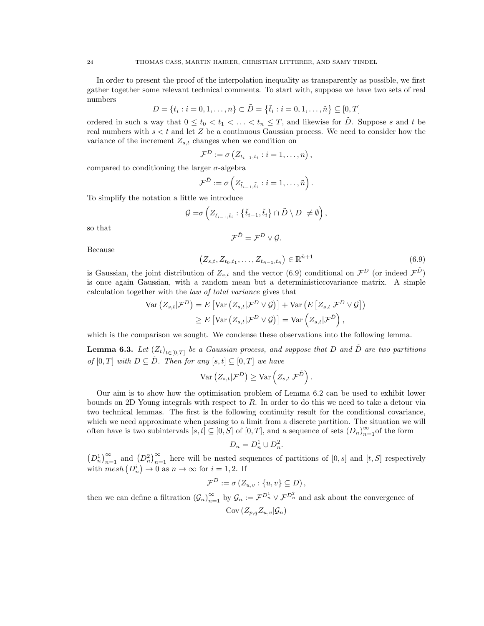In order to present the proof of the interpolation inequality as transparently as possible, we first gather together some relevant technical comments. To start with, suppose we have two sets of real numbers

$$
D = \{t_i : i = 0, 1, \dots, n\} \subset \tilde{D} = \{\tilde{t}_i : i = 0, 1, \dots, \tilde{n}\} \subseteq [0, T]
$$

ordered in such a way that  $0 \le t_0 < t_1 < \ldots < t_n \le T$ , and likewise for  $\tilde{D}$ . Suppose s and t be real numbers with  $s < t$  and let Z be a continuous Gaussian process. We need to consider how the variance of the increment  $Z_{s,t}$  changes when we condition on

$$
\mathcal{F}^D := \sigma\left(Z_{t_{i-1},t_i} : i = 1,\ldots,n\right),\,
$$

compared to conditioning the larger  $\sigma$ -algebra

$$
\mathcal{F}^{\tilde{D}} := \sigma\left(Z_{\tilde{t}_{i-1},\tilde{t}_i} : i = 1,\ldots,\tilde{n}\right).
$$

To simplify the notation a little we introduce

$$
\mathcal{G} = \sigma \left( Z_{\tilde{t}_{i-1}, \tilde{t}_i} : \{\tilde{t}_{i-1}, \tilde{t}_i\} \cap \tilde{D} \setminus D \neq \emptyset \right),
$$

so that

$$
\mathcal{F}^{\tilde{D}}=\mathcal{F}^D\vee\mathcal{G}.
$$

Because

$$
(Z_{s,t}, Z_{t_0,t_1}, \dots, Z_{t_{\tilde{n}-1},t_{\tilde{n}}}) \in \mathbb{R}^{\tilde{n}+1}
$$
\n(6.9)

is Gaussian, the joint distribution of  $Z_{s,t}$  and the vector (6.9) conditional on  $\mathcal{F}^D$  (or indeed  $\mathcal{F}^{\tilde{D}}$ ) is once again Gaussian, with a random mean but a deterministiccovariance matrix. A simple calculation together with the law of total variance gives that

$$
\operatorname{Var} (Z_{s,t} | \mathcal{F}^D) = E \left[ \operatorname{Var} (Z_{s,t} | \mathcal{F}^D \vee \mathcal{G}) \right] + \operatorname{Var} (E \left[ Z_{s,t} | \mathcal{F}^D \vee \mathcal{G} \right] )
$$
  
\n
$$
\geq E \left[ \operatorname{Var} (Z_{s,t} | \mathcal{F}^D \vee \mathcal{G}) \right] = \operatorname{Var} (Z_{s,t} | \mathcal{F}^{\tilde{D}}),
$$

which is the comparison we sought. We condense these observations into the following lemma.

**Lemma 6.3.** Let  $(Z_t)_{t \in [0,T]}$  be a Gaussian process, and suppose that D and  $\tilde{D}$  are two partitions of  $[0, T]$  with  $D \subseteq \tilde{D}$ . Then for any  $[s, t] \subseteq [0, T]$  we have

$$
\text{Var}\left(Z_{s,t}|\mathcal{F}^D\right) \geq \text{Var}\left(Z_{s,t}|\mathcal{F}^{\tilde{D}}\right).
$$

Our aim is to show how the optimisation problem of Lemma 6.2 can be used to exhibit lower bounds on 2D Young integrals with respect to R. In order to do this we need to take a detour via two technical lemmas. The first is the following continuity result for the conditional covariance, which we need approximate when passing to a limit from a discrete partition. The situation we will often have is two subintervals  $[s, t] \subseteq [0, S]$  of  $[0, T]$ , and a sequence of sets  $(D_n)_{n=1}^{\infty}$  of the form

$$
D_n = D_n^1 \cup D_n^2.
$$

 $(D_n^1)_{n=1}^{\infty}$  and  $(D_n^2)_{n=1}^{\infty}$  here will be nested sequences of partitions of  $[0, s]$  and  $[t, S]$  respectively with  $mesh(D_n^i) \to 0$  as  $n \to \infty$  for  $i = 1, 2$ . If

$$
\mathcal{F}^D := \sigma(Z_{u,v} : \{u,v\} \subseteq D),
$$

then we can define a filtration  $(\mathcal{G}_n)_{n=1}^{\infty}$  by  $\mathcal{G}_n := \mathcal{F}^{D_n} \vee \mathcal{F}^{D_n}$  and ask about the convergence of  $Cov(Z_{p,q}Z_{u,v}|\mathcal{G}_n)$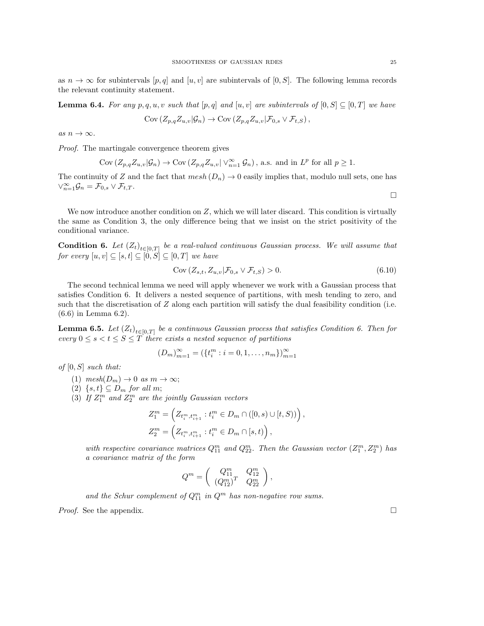as  $n \to \infty$  for subintervals  $[p, q]$  and  $[u, v]$  are subintervals of  $[0, S]$ . The following lemma records the relevant continuity statement.

**Lemma 6.4.** For any p, q, u, v such that  $[p,q]$  and  $[u, v]$  are subintervals of  $[0, S] \subseteq [0, T]$  we have

$$
Cov(Z_{p,q}Z_{u,v}|\mathcal{G}_n) \to Cov(Z_{p,q}Z_{u,v}|\mathcal{F}_{0,s} \vee \mathcal{F}_{t,S}),
$$

as  $n \to \infty$ .

Proof. The martingale convergence theorem gives

$$
Cov\left(Z_{p,q}Z_{u,v}|\mathcal{G}_n\right) \to Cov\left(Z_{p,q}Z_{u,v}\right|\vee_{n=1}^{\infty}\mathcal{G}_n\right), \text{ a.s. and in } L^p \text{ for all } p \geq 1.
$$

The continuity of Z and the fact that  $mesh(D_n) \to 0$  easily implies that, modulo null sets, one has  $\vee_{n=1}^{\infty} \mathcal{G}_n = \mathcal{F}_{0,s} \vee \mathcal{F}_{t,T}.$ 

We now introduce another condition on Z, which we will later discard. This condition is virtually the same as Condition 3, the only difference being that we insist on the strict positivity of the conditional variance.

**Condition 6.** Let  $(Z_t)_{t \in [0,T]}$  be a real-valued continuous Gaussian process. We will assume that for every  $[u, v] \subseteq [s, t] \subseteq [0, S] \subseteq [0, T]$  we have

$$
\text{Cov}\left(Z_{s,t}, Z_{u,v} | \mathcal{F}_{0,s} \vee \mathcal{F}_{t,S}\right) > 0. \tag{6.10}
$$

The second technical lemma we need will apply whenever we work with a Gaussian process that satisfies Condition 6. It delivers a nested sequence of partitions, with mesh tending to zero, and such that the discretisation of  $Z$  along each partition will satisfy the dual feasibility condition (i.e. (6.6) in Lemma 6.2).

**Lemma 6.5.** Let  $(Z_t)_{t \in [0,T]}$  be a continuous Gaussian process that satisfies Condition 6. Then for every  $0 \leq s < t \leq S \leq T$  there exists a nested sequence of partitions

$$
(D_m)_{m=1}^{\infty} = (\{t_i^m : i = 0, 1, \dots, n_m\})_{m=1}^{\infty}
$$

of  $[0, S]$  such that:

- (1)  $mesh(D_m) \rightarrow 0 \text{ as } m \rightarrow \infty;$
- (2)  $\{s, t\} \subseteq D_m$  for all m;
- (3) If  $Z_1^m$  and  $Z_2^m$  are the jointly Gaussian vectors

$$
Z_1^m = \left(Z_{t_i^m, t_{i+1}^m} : t_i^m \in D_m \cap ([0, s) \cup [t, S))\right),
$$
  

$$
Z_2^m = \left(Z_{t_i^m, t_{i+1}^m} : t_i^m \in D_m \cap [s, t)\right),
$$

with respective covariance matrices  $Q_{11}^m$  and  $Q_{22}^m$ . Then the Gaussian vector  $(Z_1^m, Z_2^m)$  has a covariance matrix of the form

$$
Q^m = \left( \begin{array}{cc} Q_{11}^m & Q_{12}^m \\ (Q_{12}^m)^T & Q_{22}^m \end{array} \right),
$$

and the Schur complement of  $Q_{11}^m$  in  $Q^m$  has non-negative row sums.

*Proof.* See the appendix.  $\square$ 

 $\Box$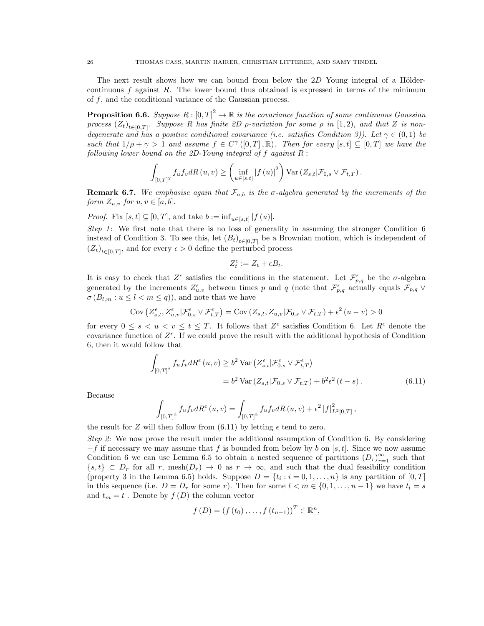The next result shows how we can bound from below the  $2D$  Young integral of a Höldercontinuous  $f$  against  $R$ . The lower bound thus obtained is expressed in terms of the minimum of  $f$ , and the conditional variance of the Gaussian process.

**Proposition 6.6.** Suppose  $R: [0, T]^2 \to \mathbb{R}$  is the covariance function of some continuous Gaussian process  $(Z_t)_{t \in [0,T]}$ . Suppose R has finite 2D  $\rho$ -variation for some  $\rho$  in  $[1,2)$ , and that Z is nondegenerate and has a positive conditional covariance (i.e. satisfies Condition 3)). Let  $\gamma \in (0,1)$  be such that  $1/\rho + \gamma > 1$  and assume  $f \in C^{\gamma}([0,T], \mathbb{R})$ . Then for every  $[s, t] \subseteq [0,T]$  we have the following lower bound on the 2D-Young integral of  $f$  against  $R$ :

$$
\int_{[0,T]^2} f_u f_v dR(u,v) \geq \left( \inf_{u \in [s,t]} |f(u)|^2 \right) \text{Var} \left( Z_{s,t} | \mathcal{F}_{0,s} \vee \mathcal{F}_{t,T} \right).
$$

**Remark 6.7.** We emphasise again that  $\mathcal{F}_{a,b}$  is the  $\sigma$ -algebra generated by the increments of the form  $Z_{u,v}$  for  $u, v \in [a, b]$ .

*Proof.* Fix  $[s, t] \subseteq [0, T]$ , and take  $b := \inf_{u \in [s, t]} |f(u)|$ .

Step 1: We first note that there is no loss of generality in assuming the stronger Condition  $6$ instead of Condition 3. To see this, let  $(B_t)_{t\in[0,T]}$  be a Brownian motion, which is independent of  $(Z_t)_{t\in[0,T]},$  and for every  $\epsilon>0$  define the perturbed process

$$
Z_t^{\epsilon} := Z_t + \epsilon B_t.
$$

It is easy to check that  $Z^{\epsilon}$  satisfies the conditions in the statement. Let  $\mathcal{F}^{\epsilon}_{p,q}$  be the  $\sigma$ -algebra generated by the increments  $Z_{u,v}^{\epsilon}$  between times p and q (note that  $\mathcal{F}_{p,q}^{\epsilon}$  actually equals  $\mathcal{F}_{p,q}$   $\vee$  $\sigma(B_{l,m}: u \leq l \leq m \leq q)$ , and note that we have

$$
\text{Cov}\left(Z_{s,t}^{\epsilon}, Z_{u,v}^{\epsilon} | \mathcal{F}_{0,s}^{\epsilon} \vee \mathcal{F}_{t,T}^{\epsilon}\right) = \text{Cov}\left(Z_{s,t}, Z_{u,v} | \mathcal{F}_{0,s} \vee \mathcal{F}_{t,T}\right) + \epsilon^2 \left(u - v\right) > 0
$$

for every  $0 \leq s \leq u \leq v \leq t \leq T$ . It follows that  $Z^{\epsilon}$  satisfies Condition 6. Let  $R^{\epsilon}$  denote the covariance function of  $Z^{\epsilon}$ . If we could prove the result with the additional hypothesis of Condition 6, then it would follow that

$$
\int_{[0,T]^2} f_u f_v dR^{\epsilon}(u,v) \ge b^2 \operatorname{Var} \left( Z_{s,t}^{\epsilon} | \mathcal{F}_{0,s}^{\epsilon} \vee \mathcal{F}_{t,T}^{\epsilon} \right)
$$

$$
= b^2 \operatorname{Var} \left( Z_{s,t} | \mathcal{F}_{0,s} \vee \mathcal{F}_{t,T} \right) + b^2 \epsilon^2 (t-s).
$$
(6.11)

Because

$$
\int_{[0,T]^2} f_u f_v dR^{\epsilon}(u,v) = \int_{[0,T]^2} f_u f_v dR(u,v) + \epsilon^2 |f|^2_{L^2[0,T]},
$$

the result for Z will then follow from  $(6.11)$  by letting  $\epsilon$  tend to zero.

Step 2: We now prove the result under the additional assumption of Condition 6. By considering  $-f$  if necessary we may assume that f is bounded from below by b on [s, t]. Since we now assume Condition 6 we can use Lemma 6.5 to obtain a nested sequence of partitions  $(D_r)_{r=1}^{\infty}$  such that  $\{s, t\} \subset D_r$  for all r, mesh $(D_r) \to 0$  as  $r \to \infty$ , and such that the dual feasibility condition (property 3 in the Lemma 6.5) holds. Suppose  $D = \{t_i : i = 0, 1, ..., n\}$  is any partition of  $[0, T]$ in this sequence (i.e.  $D = D_r$  for some r). Then for some  $l < m \in \{0, 1, ..., n-1\}$  we have  $t_l = s$ and  $t_m = t$ . Denote by  $f(D)$  the column vector

$$
f(D) = (f(t_0),..., f(t_{n-1}))^T \in \mathbb{R}^n
$$
,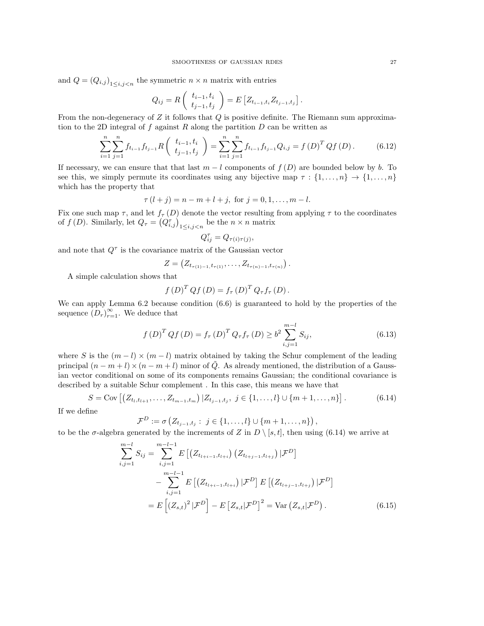and  $Q = (Q_{i,j})_{1 \leq i,j \leq n}$  the symmetric  $n \times n$  matrix with entries

$$
Q_{ij} = R\left(\begin{array}{c} t_{i-1}, t_i \\ t_{j-1}, t_j \end{array}\right) = E\left[Z_{t_{i-1}, t_i} Z_{t_{j-1}, t_j}\right]
$$

From the non-degeneracy of  $Z$  it follows that  $Q$  is positive definite. The Riemann sum approximation to the 2D integral of f against R along the partition  $D$  can be written as

$$
\sum_{i=1}^{n} \sum_{j=1}^{n} f_{t_{i-1}} f_{t_{j-1}} R\left(\begin{array}{c} t_{i-1}, t_i \\ t_{j-1}, t_j \end{array}\right) = \sum_{i=1}^{n} \sum_{j=1}^{n} f_{t_{i-1}} f_{t_{j-1}} Q_{i,j} = f\left(D\right)^T Q f\left(D\right). \tag{6.12}
$$

.

If necessary, we can ensure that that last  $m - l$  components of  $f(D)$  are bounded below by b. To see this, we simply permute its coordinates using any bijective map  $\tau : \{1, \ldots, n\} \to \{1, \ldots, n\}$ which has the property that

$$
\tau(l+j) = n - m + l + j, \text{ for } j = 0, 1, ..., m - l.
$$

Fix one such map  $\tau$ , and let  $f_{\tau}(D)$  denote the vector resulting from applying  $\tau$  to the coordinates of  $f(D)$ . Similarly, let  $Q_{\tau} = (Q_{i,j}^{\tau})_{1 \leq i,j < n}$  be the  $n \times n$  matrix

$$
Q_{ij}^{\tau} = Q_{\tau(i)\tau(j)},
$$

and note that  $Q^{\tau}$  is the covariance matrix of the Gaussian vector

$$
Z = (Z_{t_{\tau(1)-1}, t_{\tau(1)}}, \ldots, Z_{t_{\tau(n)-1}, t_{\tau(n)}}).
$$

A simple calculation shows that

$$
f(D)^{T} Q f(D) = f_{\tau}(D)^{T} Q_{\tau} f_{\tau}(D).
$$

We can apply Lemma  $6.2$  because condition  $(6.6)$  is guaranteed to hold by the properties of the sequence  $(D_r)_{r=1}^{\infty}$ . We deduce that

$$
f(D)^{T} Q f(D) = f_{\tau}(D)^{T} Q_{\tau} f_{\tau}(D) \geq b^{2} \sum_{i,j=1}^{m-l} S_{ij},
$$
\n(6.13)

where S is the  $(m - l) \times (m - l)$  matrix obtained by taking the Schur complement of the leading principal  $(n - m + l) \times (n - m + l)$  minor of  $\tilde{Q}$ . As already mentioned, the distribution of a Gaussian vector conditional on some of its components remains Gaussian; the conditional covariance is described by a suitable Schur complement . In this case, this means we have that

$$
S = \text{Cov}\left[ \left( Z_{t_l, t_{l+1}}, \dots, Z_{t_{m-1}, t_m} \right) \mid Z_{t_{j-1}, t_j}, j \in \{1, \dots, l\} \cup \{m+1, \dots, n\} \right]. \tag{6.14}
$$

If we define

$$
\mathcal{F}^D := \sigma \left( Z_{t_{j-1}, t_j} : j \in \{1, ..., l\} \cup \{m+1, ..., n\} \right),
$$

to be the  $\sigma$ -algebra generated by the increments of Z in  $D \setminus [s, t]$ , then using (6.14) we arrive at

$$
\sum_{i,j=1}^{m-l} S_{ij} = \sum_{i,j=1}^{m-l-1} E\left[ \left( Z_{t_{l+i-1}, t_{l+i}} \right) \left( Z_{t_{l+j-1}, t_{l+j}} \right) | \mathcal{F}^D \right] \n- \sum_{i,j=1}^{m-l-1} E\left[ \left( Z_{t_{l+i-1}, t_{l+i}} \right) | \mathcal{F}^D \right] E\left[ \left( Z_{t_{l+j-1}, t_{l+j}} \right) | \mathcal{F}^D \right] \n= E\left[ \left( Z_{s,t} \right)^2 | \mathcal{F}^D \right] - E\left[ Z_{s,t} | \mathcal{F}^D \right]^2 = \text{Var} \left( Z_{s,t} | \mathcal{F}^D \right). \tag{6.15}
$$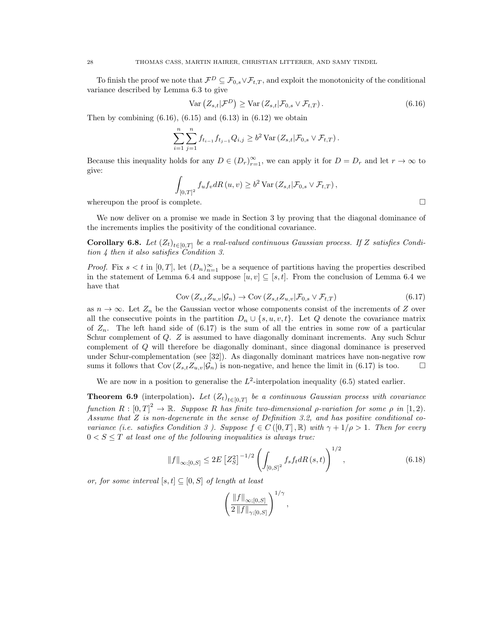To finish the proof we note that  $\mathcal{F}^D \subseteq \mathcal{F}_{0,s} \vee \mathcal{F}_{t,T}$ , and exploit the monotonicity of the conditional variance described by Lemma 6.3 to give

$$
\text{Var}\left(Z_{s,t}|\mathcal{F}^D\right) \geq \text{Var}\left(Z_{s,t}|\mathcal{F}_{0,s} \vee \mathcal{F}_{t,T}\right). \tag{6.16}
$$

Then by combining  $(6.16)$ ,  $(6.15)$  and  $(6.13)$  in  $(6.12)$  we obtain

$$
\sum_{i=1}^{n} \sum_{j=1}^{n} f_{t_{i-1}} f_{t_{j-1}} Q_{i,j} \geq b^2 \operatorname{Var} (Z_{s,t} | \mathcal{F}_{0,s} \vee \mathcal{F}_{t,T}).
$$

Because this inequality holds for any  $D \in (D_r)_{r=1}^{\infty}$ , we can apply it for  $D = D_r$  and let  $r \to \infty$  to give:

$$
\int_{[0,T]^2} f_u f_v dR(u,v) \ge b^2 \operatorname{Var}(Z_{s,t}|\mathcal{F}_{0,s} \vee \mathcal{F}_{t,T}),
$$
  
whereupon the proof is complete.

We now deliver on a promise we made in Section 3 by proving that the diagonal dominance of the increments implies the positivity of the conditional covariance.

**Corollary 6.8.** Let  $(Z_t)_{t \in [0,T]}$  be a real-valued continuous Gaussian process. If Z satisfies Condition 4 then it also satisfies Condition 3.

*Proof.* Fix  $s < t$  in  $[0, T]$ , let  $(D_n)_{n=1}^{\infty}$  be a sequence of partitions having the properties described in the statement of Lemma 6.4 and suppose  $[u, v] \subseteq [s, t]$ . From the conclusion of Lemma 6.4 we have that

$$
Cov\left(Z_{s,t}Z_{u,v}|\mathcal{G}_n\right) \to Cov\left(Z_{s,t}Z_{u,v}|\mathcal{F}_{0,s} \vee \mathcal{F}_{t,T}\right) \tag{6.17}
$$

as  $n \to \infty$ . Let  $Z_n$  be the Gaussian vector whose components consist of the increments of Z over all the consecutive points in the partition  $D_n \cup \{s, u, v, t\}$ . Let Q denote the covariance matrix of  $Z_n$ . The left hand side of  $(6.17)$  is the sum of all the entries in some row of a particular Schur complement of Q. Z is assumed to have diagonally dominant increments. Any such Schur complement of Q will therefore be diagonally dominant, since diagonal dominance is preserved under Schur-complementation (see [32]). As diagonally dominant matrices have non-negative row sums it follows that  $Cov(Z_{s,t}Z_{u,v}|\mathcal{G}_n)$  is non-negative, and hence the limit in (6.17) is too.

We are now in a position to generalise the  $L^2$ -interpolation inequality (6.5) stated earlier.

**Theorem 6.9** (interpolation). Let  $(Z_t)_{t \in [0,T]}$  be a continuous Gaussian process with covariance function  $R: [0, T]^2 \to \mathbb{R}$ . Suppose R has finite two-dimensional p-variation for some  $\rho$  in [1,2]. Assume that  $Z$  is non-degenerate in the sense of Definition 3.2, and has positive conditional covariance (i.e. satisfies Condition 3). Suppose  $f \in C([0,T], \mathbb{R})$  with  $\gamma + 1/\rho > 1$ . Then for every  $0 < S \leq T$  at least one of the following inequalities is always true:

$$
\|f\|_{\infty;[0,S]} \le 2E\left[Z_S^2\right]^{-1/2} \left(\int_{[0,S]^2} f_s f_t dR\left(s,t\right)\right)^{1/2},\tag{6.18}
$$

,

or, for some interval  $[s, t] \subseteq [0, S]$  of length at least

$$
\left(\frac{\|f\|_{\infty;[0,S]}}{2\,\|f\|_{\gamma;[0,S]}}\right)^{1/\gamma}
$$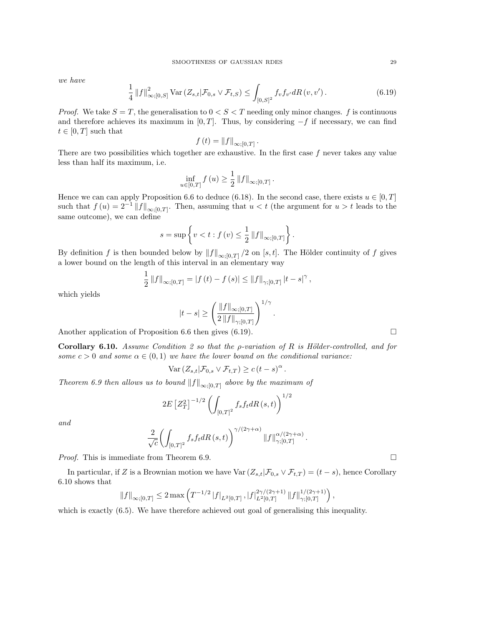we have

$$
\frac{1}{4} \left\| f \right\|_{\infty;[0,S]}^2 \text{Var} \left( Z_{s,t} | \mathcal{F}_{0,s} \vee \mathcal{F}_{t,S} \right) \le \int_{[0,S]^2} f_v f_{v'} dR \left( v, v' \right). \tag{6.19}
$$

.

*Proof.* We take  $S = T$ , the generalisation to  $0 < S < T$  needing only minor changes. f is continuous and therefore achieves its maximum in [0, T]. Thus, by considering  $-f$  if necessary, we can find  $t \in [0, T]$  such that

$$
f(t) = ||f||_{\infty;[0,T]}
$$

There are two possibilities which together are exhaustive. In the first case  $f$  never takes any value less than half its maximum, i.e.

$$
\inf_{u \in [0,T]} f(u) \ge \frac{1}{2} ||f||_{\infty;[0,T]}.
$$

Hence we can can apply Proposition 6.6 to deduce (6.18). In the second case, there exists  $u \in [0, T]$ such that  $f(u) = 2^{-1} ||f||_{\infty;[0,T]}$ . Then, assuming that  $u < t$  (the argument for  $u > t$  leads to the same outcome), we can define

$$
s = \sup \left\{ v < t : f(v) \leq \frac{1}{2} ||f||_{\infty;[0,T]} \right\}.
$$

By definition f is then bounded below by  $||f||_{\infty;[0,T]}/2$  on [s, t]. The Hölder continuity of f gives a lower bound on the length of this interval in an elementary way

$$
\frac{1}{2} ||f||_{\infty;[0,T]} = |f(t) - f(s)| \le ||f||_{\gamma;[0,T]} |t - s|^{\gamma},
$$

which yields

$$
|t - s| \ge \left(\frac{\|f\|_{\infty; [0, T]}}{2\,\|f\|_{\gamma; [0, T]}}\right)^{1/\gamma}
$$

.

Another application of Proposition 6.6 then gives (6.19).  $\Box$ 

Corollary 6.10. Assume Condition 2 so that the *ρ*-variation of R is Hölder-controlled, and for some  $c > 0$  and some  $\alpha \in (0,1)$  we have the lower bound on the conditional variance:

$$
\text{Var}\left(Z_{s,t}|\mathcal{F}_{0,s}\vee\mathcal{F}_{t,T}\right)\ge c\left(t-s\right)^{\alpha}.
$$

Theorem 6.9 then allows us to bound  $||f||_{\infty;[0,T]}$  above by the maximum of

$$
2E\left[Z_T^2\right]^{-1/2}\left(\int_{[0,T]^2}f_s f_t dR\left(s,t\right)\right)^{1/2}
$$

and

$$
\frac{2}{\sqrt{c}}\biggl(\int_{[0,T]^2}f_s f_t dR\left(s,t\right)\biggr)^{\gamma/(2\gamma+\alpha)}\left\|f\right\|_{\gamma;[0,T]}^{\alpha/(2\gamma+\alpha)}.
$$

*Proof.* This is immediate from Theorem 6.9.

In particular, if Z is a Brownian motion we have  $\text{Var}\left(Z_{s,t}|\mathcal{F}_{0,s} \vee \mathcal{F}_{t,T}\right) = (t-s)$ , hence Corollary 6.10 shows that

$$
\left\|f\right\|_{\infty;[0,T]}\leq 2\max\left(T^{-1/2}\left|f\right|_{L^2[0,T]},\left|f\right|_{L^2[0,T]}^{2\gamma/(2\gamma+1)}\left\|f\right\|_{\gamma;[0,T]}^{1/(2\gamma+1)}\right),
$$

which is exactly  $(6.5)$ . We have therefore achieved out goal of generalising this inequality.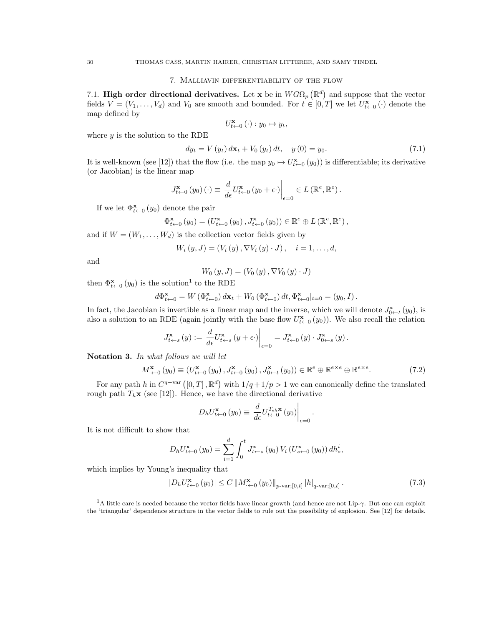#### 7. Malliavin differentiability of the flow

7.1. High order directional derivatives. Let x be in  $W G \Omega_p (\mathbb{R}^d)$  and suppose that the vector fields  $V = (V_1, \ldots, V_d)$  and  $V_0$  are smooth and bounded. For  $t \in [0,T]$  we let  $U_{t \leftarrow 0}^{\mathbf{x}}(\cdot)$  denote the map defined by

$$
U_{t\leftarrow 0}^{\mathbf{x}}\left(\cdot\right):y_{0}\mapsto y_{t},
$$

where  $y$  is the solution to the RDE

$$
dy_{t} = V(y_{t}) dx_{t} + V_{0}(y_{t}) dt, \quad y(0) = y_{0}.
$$
\n(7.1)

It is well-known (see [12]) that the flow (i.e. the map  $y_0 \mapsto U_{t \leftarrow 0}^{\mathbf{x}}(y_0)$ ) is differentiable; its derivative (or Jacobian) is the linear map

$$
J_{t \leftarrow 0}^{\mathbf{x}}(y_0)(\cdot) \equiv \left. \frac{d}{d\epsilon} U_{t \leftarrow 0}^{\mathbf{x}}(y_0 + \epsilon \cdot) \right|_{\epsilon=0} \in L(\mathbb{R}^e, \mathbb{R}^e).
$$

If we let  $\Phi_{t\leftarrow 0}^{\mathbf{x}}(y_0)$  denote the pair

$$
\Phi_{t \leftarrow 0}^{\mathbf{x}}\left(y_{0}\right) = \left(U_{t \leftarrow 0}^{\mathbf{x}}\left(y_{0}\right), J_{t \leftarrow 0}^{\mathbf{x}}\left(y_{0}\right)\right) \in \mathbb{R}^{e} \oplus L\left(\mathbb{R}^{e}, \mathbb{R}^{e}\right),
$$

and if  $W = (W_1, \ldots, W_d)$  is the collection vector fields given by

$$
W_{i}(y, J) = (V_{i}(y), \nabla V_{i}(y) \cdot J), \quad i = 1, ..., d,
$$

and

$$
W_0(y, J) = (V_0(y), \nabla V_0(y) \cdot J)
$$

then  $\Phi_{t\leftarrow 0}^{\mathbf{x}}(y_0)$  is the solution<sup>1</sup> to the RDE

$$
d\Phi_{t\leftarrow 0}^{\mathbf{x}} = W\left(\Phi_{t\leftarrow 0}^{\mathbf{x}}\right) d\mathbf{x}_t + W_0\left(\Phi_{t\leftarrow 0}^{\mathbf{x}}\right) dt, \Phi_{t\leftarrow 0}^{\mathbf{x}}|_{t=0} = (y_0, I).
$$

In fact, the Jacobian is invertible as a linear map and the inverse, which we will denote  $J_{0\leftarrow t}^{\mathbf{x}}(y_0)$ , is also a solution to an RDE (again jointly with the base flow  $U_{t\leftarrow 0}^{\mathbf{x}}(y_0)$ ). We also recall the relation

$$
J_{t \leftarrow s}^{\mathbf{x}}(y) := \left. \frac{d}{d\epsilon} U_{t \leftarrow s}^{\mathbf{x}}(y + \epsilon) \right|_{\epsilon=0} = J_{t \leftarrow 0}^{\mathbf{x}}(y) \cdot J_{0 \leftarrow s}^{\mathbf{x}}(y).
$$

Notation 3. In what follows we will let

$$
M_{\leftarrow 0}^{\mathbf{x}}\left(y_{0}\right) \equiv \left(U_{t \leftarrow 0}^{\mathbf{x}}\left(y_{0}\right), J_{t \leftarrow 0}^{\mathbf{x}}\left(y_{0}\right), J_{0 \leftarrow t}^{\mathbf{x}}\left(y_{0}\right)\right) \in \mathbb{R}^{e} \oplus \mathbb{R}^{e \times e} \oplus \mathbb{R}^{e \times e}.
$$
 (7.2)

For any path h in  $C^{q-var} ([0,T], \mathbb{R}^d)$  with  $1/q+1/p > 1$  we can canonically define the translated rough path  $T_h$ **x** (see [12]). Hence, we have the directional derivative

$$
D_h U_{t \leftarrow 0}^{\mathbf{x}} \left( y_0 \right) \equiv \left. \frac{d}{d\epsilon} U_{t \leftarrow 0}^{T_{\epsilon h} \mathbf{x}} \left( y_0 \right) \right|_{\epsilon = 0}
$$

It is not difficult to show that

$$
D_h U_{t \leftarrow 0}^{\mathbf{x}}(y_0) = \sum_{i=1}^d \int_0^t J_{t \leftarrow s}^{\mathbf{x}}(y_0) V_i(U_{s \leftarrow 0}^{\mathbf{x}}(y_0)) dh_s^i,
$$

which implies by Young's inequality that

$$
|D_h U_{t \leftarrow 0}^{\mathbf{x}}(y_0)| \le C \left\| M_{\cdot \leftarrow 0}^{\mathbf{x}}(y_0) \right\|_{p \text{-var};[0,t]} |h|_{q \text{-var};[0,t]}.
$$
\n(7.3)

.

<sup>&</sup>lt;sup>1</sup>A little care is needed because the vector fields have linear growth (and hence are not Lip-γ. But one can exploit the 'triangular' dependence structure in the vector fields to rule out the possibility of explosion. See [12] for details.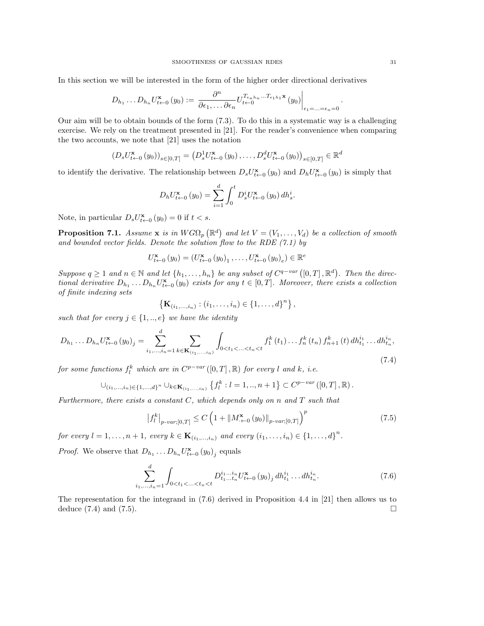In this section we will be interested in the form of the higher order directional derivatives

$$
D_{h_1}\ldots D_{h_n}U_{t-0}^{\mathbf{x}}(y_0):=\left.\frac{\partial^n}{\partial\epsilon_1,\ldots\partial\epsilon_n}U_{t-0}^{T_{\epsilon_n h_n}\ldots T_{\epsilon_1 h_1}\mathbf{x}}(y_0)\right|_{\epsilon_1=\ldots=\epsilon_n=0}
$$

Our aim will be to obtain bounds of the form (7.3). To do this in a systematic way is a challenging exercise. We rely on the treatment presented in [21]. For the reader's convenience when comparing the two accounts, we note that [21] uses the notation

$$
(D_s U_{t+0}^{\mathbf{x}}(y_0))_{s \in [0,T]} = (D_s^1 U_{t+0}^{\mathbf{x}}(y_0), \dots, D_s^d U_{t+0}^{\mathbf{x}}(y_0))_{s \in [0,T]} \in \mathbb{R}^d
$$

to identify the derivative. The relationship between  $D_s U_{t-0}^{\mathbf{x}}(y_0)$  and  $D_h U_{t-0}^{\mathbf{x}}(y_0)$  is simply that

$$
D_h U_{t \leftarrow 0}^{\mathbf{x}}(y_0) = \sum_{i=1}^d \int_0^t D_s^i U_{t \leftarrow 0}^{\mathbf{x}}(y_0) dh_s^i.
$$

Note, in particular  $D_s U_{t-0}^{\mathbf{x}}(y_0) = 0$  if  $t < s$ .

**Proposition 7.1.** Assume **x** is in  $WG\Omega_p(\mathbb{R}^d)$  and let  $V = (V_1, \ldots, V_d)$  be a collection of smooth and bounded vector fields. Denote the solution flow to the RDE  $(7.1)$  by

$$
U_{t \leftarrow 0}^{\mathbf{x}}(y_0) = (U_{t \leftarrow 0}^{\mathbf{x}}(y_0)_1, \dots, U_{t \leftarrow 0}^{\mathbf{x}}(y_0)_e) \in \mathbb{R}^e
$$

Suppose  $q \geq 1$  and  $n \in \mathbb{N}$  and let  $\{h_1, \ldots, h_n\}$  be any subset of  $C^{q-var}([0, T], \mathbb{R}^d)$ . Then the directional derivative  $D_{h_1} \dots D_{h_n} U_{t \leftarrow 0}^{\mathbf{x}} (y_0)$  exists for any  $t \in [0, T]$ . Moreover, there exists a collection of finite indexing sets

$$
\left\{ \mathbf{K}_{(i_1,...,i_n)} : (i_1,...,i_n) \in \{1,...,d\}^n \right\},\
$$

such that for every  $j \in \{1, ..., e\}$  we have the identity

$$
D_{h_1} \dots D_{h_n} U_{t-0}^{\mathbf{x}}(y_0)_j = \sum_{i_1, \dots, i_n=1}^d \sum_{k \in \mathbf{K}_{(i_1, \dots, i_n)}} \int_{0 < t_1 < \dots < t_n < t} f_1^k(t_1) \dots f_n^k(t_n) f_{n+1}^k(t) \, dh_{t_1}^{i_1} \dots dh_{t_n}^{i_n},\tag{7.4}
$$

for some functions  $f_l^k$  which are in  $C^{p-var}([0,T], \mathbb{R})$  for every l and k, i.e.

$$
\cup_{(i_1,\ldots,i_n)\in\{1,\ldots,d\}^n}\cup_{k\in\mathbf{K}_{(i_1,\ldots,i_n)}}\{f_l^k: l=1,\ldots,n+1\}\subset C^{p-var}([0,T],\mathbb{R}).
$$

Furthermore, there exists a constant  $C$ , which depends only on n and  $T$  such that

$$
\left|f_{l}^{k}\right|_{p\text{-}var;[0,T]} \leq C \left(1 + \|M_{\cdot \leftarrow 0}^{\mathbf{x}}\left(y_{0}\right)\|_{p\text{-}var;[0,T]}\right)^{p} \tag{7.5}
$$

for every  $l = 1, ..., n + 1$ , every  $k \in K_{(i_1, ..., i_n)}$  and every  $(i_1, ..., i_n) \in \{1, ..., d\}^n$ .

*Proof.* We observe that  $D_{h_1} \dots D_{h_n} U_{t \leftarrow 0}^{\mathbf{x}} (y_0)_j$  equals

$$
\sum_{i_1,\dots,i_n=1}^d \int_{0 < t_1 < \dots < t_n < t} D_{t_1\dots t_n}^{i_1\dots i_n} U_{t-0}^{\mathbf{x}} \left(y_0\right)_j dh_{t_1}^{i_1} \dots dh_{t_n}^{i_n}.\tag{7.6}
$$

The representation for the integrand in (7.6) derived in Proposition 4.4 in [21] then allows us to deduce  $(7.4)$  and  $(7.5)$ .

.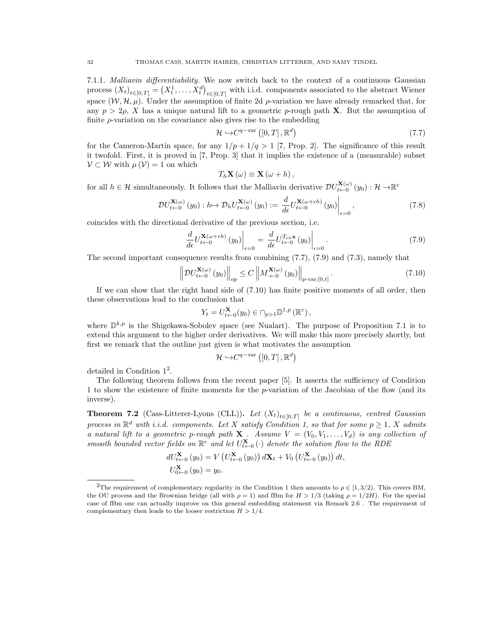7.1.1. Malliavin differentiability. We now switch back to the context of a continuous Gaussian process  $(X_t)_{t\in[0,T]} = (X_t^1,\ldots,X_t^d)_{t\in[0,T]}$  with i.i.d. components associated to the abstract Wiener space  $(\mathcal{W}, \mathcal{H}, \mu)$ . Under the assumption of finite 2d  $\rho$ -variation we have already remarked that, for any  $p > 2\rho$ , X has a unique natural lift to a geometric p-rough path **X**. But the assumption of finite  $\rho$ -variation on the covariance also gives rise to the embedding

$$
\mathcal{H} \hookrightarrow C^{q - \text{var}}\left( \left[ 0, T \right], \mathbb{R}^d \right) \tag{7.7}
$$

for the Cameron-Martin space, for any  $1/p + 1/q > 1$  [7, Prop. 2]. The significance of this result it twofold. First, it is proved in [7, Prop. 3] that it implies the existence of a (measurable) subset  $V \subset W$  with  $\mu(V) = 1$  on which

$$
T_h\mathbf{X}(\omega) \equiv \mathbf{X}(\omega + h)\,,
$$

for all  $h \in \mathcal{H}$  simultaneously. It follows that the Malliavin derivative  $\mathcal{DU}_{t\leftarrow 0}^{\mathbf{X}(\omega)}(y_0): \mathcal{H} \to \mathbb{R}^e$ 

$$
\mathcal{D}U_{t\leftarrow 0}^{\mathbf{X}(\omega)}(y_0): h\mapsto \mathcal{D}_h U_{t\leftarrow 0}^{\mathbf{X}(\omega)}(y_0):=\left.\frac{d}{d\epsilon}U_{t\leftarrow 0}^{\mathbf{X}(\omega+\epsilon h)}(y_0)\right|_{\epsilon=0},\tag{7.8}
$$

coincides with the directional derivative of the previous section, i.e.

$$
\left. \frac{d}{d\epsilon} U_{t \leftarrow 0}^{\mathbf{X}(\omega + \epsilon h)}(y_0) \right|_{\epsilon = 0} = \left. \frac{d}{d\epsilon} U_{t \leftarrow 0}^{T_{\epsilon h} \mathbf{x}}(y_0) \right|_{\epsilon = 0} . \tag{7.9}
$$

The second important consequence results from combining (7.7), (7.9) and (7.3), namely that

$$
\left\| DU_{t \leftarrow 0}^{\mathbf{X}(\omega)}(y_0) \right\|_{op} \le C \left\| M_{\cdot \leftarrow 0}^{\mathbf{X}(\omega)}(y_0) \right\|_{p\text{-}\mathrm{var};[0,t]}.
$$
\n(7.10)

If we can show that the right hand side of (7.10) has finite positive moments of all order, then these observations lead to the conclusion that

$$
Y_t = U_{t \leftarrow 0}^{\mathbf{X}}(y_0) \in \bigcap_{p > 1} \mathbb{D}^{1, p} \left( \mathbb{R}^e \right),
$$

where  $\mathbb{D}^{k,p}$  is the Shigekawa-Sobolev space (see Nualart). The purpose of Proposition 7.1 is to extend this argument to the higher order derivatives. We will make this more precisely shortly, but first we remark that the outline just given is what motivates the assumption

$$
\mathcal{H} \hookrightarrow C^{q - \text{var}}\left( \left[ 0, T \right], \mathbb{R}^d \right)
$$

detailed in Condition  $1^2$ .

The following theorem follows from the recent paper [5]. It asserts the sufficiency of Condition 1 to show the existence of finite moments for the p-variation of the Jacobian of the flow (and its inverse).

**Theorem 7.2** (Cass-Litterer-Lyons (CLL)). Let  $(X_t)_{t\in[0,T]}$  be a continuous, centred Gaussian process in  $\mathbb{R}^d$  with i.i.d. components. Let X satisfy Condition 1, so that for some  $p \geq 1$ , X admits a natural lift to a geometric p-rough path **X**. Assume  $V = (V_0, V_1, \ldots, V_d)$  is any collection of smooth bounded vector fields on  $\mathbb{R}^e$  and let  $U_{t-0}^{\mathbf{X}}(\cdot)$  denote the solution flow to the RDE

$$
dU_{t \leftarrow 0}^{\mathbf{X}} (y_0) = V (U_{t \leftarrow 0}^{\mathbf{X}} (y_0)) d\mathbf{X}_t + V_0 (U_{t \leftarrow 0}^{\mathbf{X}} (y_0)) dt,
$$
  

$$
U_{0 \leftarrow 0}^{\mathbf{X}} (y_0) = y_0.
$$

<sup>&</sup>lt;sup>2</sup>The requirement of complementary regularity in the Condition 1 then amounts to  $\rho \in [1, 3/2)$ . This covers BM, the OU process and the Brownian bridge (all with  $\rho = 1$ ) and fBm for  $H > 1/3$  (taking  $\rho = 1/2H$ ). For the special case of fBm one can actually improve on this general embedding statement via Remark 2.6 . The requirement of complementary then leads to the looser restriction  $H > 1/4$ .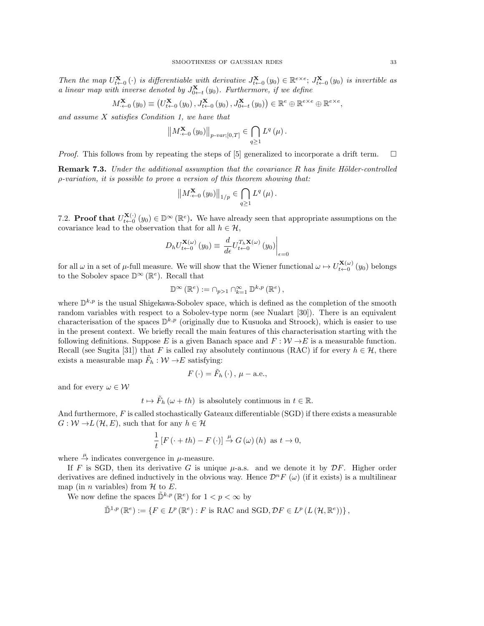Then the map  $U_{t\leftarrow 0}^{\mathbf{X}}(\cdot)$  is differentiable with derivative  $J_{t\leftarrow 0}^{\mathbf{X}}(y_0) \in \mathbb{R}^{e \times e}$ ;  $J_{t\leftarrow 0}^{\mathbf{X}}(y_0)$  is invertible as a linear map with inverse denoted by  $J_{0\leftarrow t}^{\mathbf{X}}(y_0)$ . Furthermore, if we define

$$
M_{\leftarrow 0}^{\mathbf{X}}\left(y_{0}\right) \equiv \left(U_{t \leftarrow 0}^{\mathbf{X}}\left(y_{0}\right), J_{t \leftarrow 0}^{\mathbf{X}}\left(y_{0}\right), J_{0 \leftarrow t}^{\mathbf{X}}\left(y_{0}\right)\right) \in \mathbb{R}^{e} \oplus \mathbb{R}^{e \times e} \oplus \mathbb{R}^{e \times e}
$$

and assume X satisfies Condition 1, we have that

$$
\left\|M^{\mathbf{X}}_{\leftarrow 0}(y_0)\right\|_{p-var;[0,T]} \in \bigcap_{q\geq 1} L^q\left(\mu\right).
$$

*Proof.* This follows from by repeating the steps of [5] generalized to incorporate a drift term.  $\Box$ 

**Remark 7.3.** Under the additional assumption that the covariance R has finite Hölder-controlled ρ-variation, it is possible to prove a version of this theorem showing that:

$$
\left\|M^{\mathbf{X}}_{\cdot\leftarrow 0}(y_0)\right\|_{1/p}\in\bigcap_{q\geq 1}L^q\left(\mu\right).
$$

7.2. **Proof that**  $U_{t\leftarrow 0}^{\mathbf{X}(\cdot)}(y_0) \in \mathbb{D}^{\infty}(\mathbb{R}^e)$ . We have already seen that appropriate assumptions on the covariance lead to the observation that for all  $h \in \mathcal{H}$ ,

$$
D_h U_{t \leftarrow 0}^{\mathbf{X}(\omega)}(y_0) \equiv \left. \frac{d}{d\epsilon} U_{t \leftarrow 0}^{T_h \mathbf{X}(\omega)}(y_0) \right|_{\epsilon=0}
$$

for all  $\omega$  in a set of  $\mu$ -full measure. We will show that the Wiener functional  $\omega \mapsto U_{t\leftarrow 0}^{\mathbf{X}(\omega)}(y_0)$  belongs to the Sobolev space  $\mathbb{D}^{\infty}(\mathbb{R}^e)$ . Recall that

$$
\mathbb{D}^{\infty}\left(\mathbb{R}^{e}\right):=\cap_{p>1}\cap_{k=1}^{\infty}\mathbb{D}^{k,p}\left(\mathbb{R}^{e}\right),
$$

where  $\mathbb{D}^{k,p}$  is the usual Shigekawa-Sobolev space, which is defined as the completion of the smooth random variables with respect to a Sobolev-type norm (see Nualart [30]). There is an equivalent characterisation of the spaces  $\mathbb{D}^{k,p}$  (originally due to Kusuoka and Stroock), which is easier to use in the present context. We briefly recall the main features of this characterisation starting with the following definitions. Suppose E is a given Banach space and  $F : \mathcal{W} \to E$  is a measurable function. Recall (see Sugita [31]) that F is called ray absolutely continuous (RAC) if for every  $h \in \mathcal{H}$ , there exists a measurable map  $\tilde{F}_h : \mathcal{W} \to E$  satisfying:

$$
F(\cdot) = \tilde{F}_h(\cdot), \mu - \text{a.e.},
$$

and for every  $\omega \in \mathcal{W}$ 

$$
t \mapsto \tilde{F}_h(\omega + th)
$$
 is absolutely continuous in  $t \in \mathbb{R}$ .

And furthermore, F is called stochastically Gateaux differentiable (SGD) if there exists a measurable  $G: \mathcal{W} \to L(\mathcal{H}, E)$ , such that for any  $h \in \mathcal{H}$ 

$$
\frac{1}{t}\left[F\left(\cdot+th\right)-F\left(\cdot\right)\right]\stackrel{\mu}{\to}G\left(\omega\right)\left(h\right)\text{ as }t\to 0,
$$

where  $\stackrel{\mu}{\rightarrow}$  indicates convergence in  $\mu$ -measure.

If F is SGD, then its derivative G is unique  $\mu$ -a.s. and we denote it by  $\mathcal{D}F$ . Higher order derivatives are defined inductively in the obvious way. Hence  $\mathcal{D}^n F(\omega)$  (if it exists) is a multilinear map (in *n* variables) from  $H$  to  $E$ .

We now define the spaces  $\tilde{\mathbb{D}}^{k,p}(\mathbb{R}^e)$  for  $1 < p < \infty$  by

$$
\tilde{\mathbb{D}}^{1,p}(\mathbb{R}^e) := \{ F \in L^p(\mathbb{R}^e) : F \text{ is RAC and SGD, } DF \in L^p(L(\mathcal{H}, \mathbb{R}^e)) \},
$$

,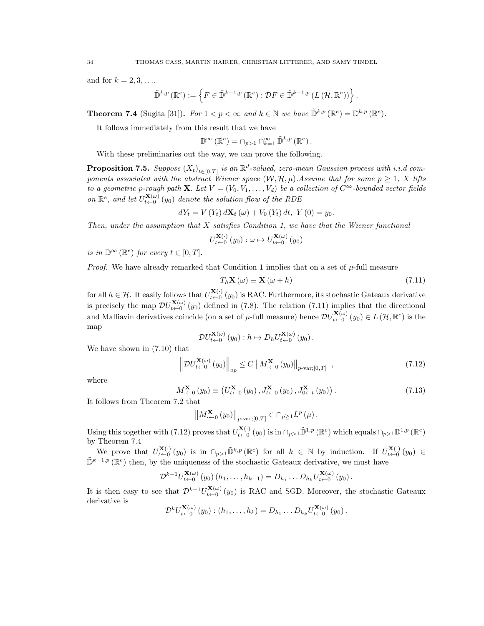and for  $k = 2, 3, \ldots$ .

$$
\tilde{\mathbb{D}}^{k,p}(\mathbb{R}^e) := \left\{ F \in \tilde{\mathbb{D}}^{k-1,p}(\mathbb{R}^e) : \mathcal{D}F \in \tilde{\mathbb{D}}^{k-1,p}\left(L\left(\mathcal{H}, \mathbb{R}^e\right)\right) \right\}.
$$

**Theorem 7.4** (Sugita [31]). For  $1 < p < \infty$  and  $k \in \mathbb{N}$  we have  $\tilde{\mathbb{D}}^{k,p}(\mathbb{R}^e) = \mathbb{D}^{k,p}(\mathbb{R}^e)$ .

It follows immediately from this result that we have

 $\mathbb{D}^{\infty}(\mathbb{R}^e) = \cap_{p>1} \cap_{k=1}^{\infty} \tilde{\mathbb{D}}^{k,p}(\mathbb{R}^e).$ 

With these preliminaries out the way, we can prove the following.

**Proposition 7.5.** Suppose  $(X_t)_{t \in [0,T]}$  is an  $\mathbb{R}^d$ -valued, zero-mean Gaussian process with i.i.d components associated with the abstract Wiener space  $(W, \mathcal{H}, \mu)$ . Assume that for some  $p \geq 1$ , X lifts to a geometric p-rough path **X**. Let  $V = (V_0, V_1, \ldots, V_d)$  be a collection of  $C^{\infty}$ -bounded vector fields on  $\mathbb{R}^e$ , and let  $U_{t-0}^{\mathbf{X}(\omega)}(y_0)$  denote the solution flow of the RDE

$$
dY_t = V(Y_t) d\mathbf{X}_t (\omega) + V_0 (Y_t) dt, Y(0) = y_0.
$$

Then, under the assumption that  $X$  satisfies Condition 1, we have that the Wiener functional

$$
U_{t \leftarrow 0}^{\mathbf{X}(\cdot)}(y_0) : \omega \mapsto U_{t \leftarrow 0}^{\mathbf{X}(\omega)}(y_0)
$$

is in  $\mathbb{D}^{\infty}(\mathbb{R}^e)$  for every  $t \in [0, T]$ .

*Proof.* We have already remarked that Condition 1 implies that on a set of  $\mu$ -full measure

$$
T_h \mathbf{X} \left( \omega \right) \equiv \mathbf{X} \left( \omega + h \right) \tag{7.11}
$$

for all  $h \in \mathcal{H}$ . It easily follows that  $U_{t \leftarrow 0}^{\mathbf{X}(\cdot)}(y_0)$  is RAC. Furthermore, its stochastic Gateaux derivative is precisely the map  $\mathcal{D}U_{t\leftarrow 0}^{\mathbf{X}(\omega)}(y_0)$  defined in (7.8). The relation (7.11) implies that the directional and Malliavin derivatives coincide (on a set of  $\mu$ -full measure) hence  $\mathcal{D}U_{t\leftarrow 0}^{\mathbf{X}(\omega)}(y_0) \in L(\mathcal{H}, \mathbb{R}^e)$  is the map

$$
\mathcal{D}U_{t\leftarrow 0}^{\mathbf{X}(\omega)}(y_0):h\mapsto D_hU_{t\leftarrow 0}^{\mathbf{X}(\omega)}(y_0).
$$

We have shown in (7.10) that

$$
\left\| DU_{t \leftarrow 0}^{\mathbf{X}(\omega)}(y_0) \right\|_{op} \le C \left\| M_{\cdot \leftarrow 0}^{\mathbf{X}}(y_0) \right\|_{p\text{-var};[0,T]} ,\right. \tag{7.12}
$$

where

$$
M_{\leftarrow 0}^{\mathbf{X}}(y_0) \equiv \left( U_{t \leftarrow 0}^{\mathbf{X}}(y_0), J_{t \leftarrow 0}^{\mathbf{X}}(y_0), J_{0 \leftarrow t}^{\mathbf{X}}(y_0) \right) . \tag{7.13}
$$

It follows from Theorem 7.2 that

$$
\left\|M^{\mathbf{X}}_{\cdot\leftarrow 0}(y_0)\right\|_{p\text{-}\mathrm{var};[0,T]}\in\cap_{p\geq 1}L^p\left(\mu\right).
$$

Using this together with (7.12) proves that  $U_{t\leftarrow 0}^{\mathbf{X}(\cdot)}(y_0)$  is in  $\cap_{p>1} \tilde{\mathbb{D}}^{1,p}(\mathbb{R}^e)$  which equals  $\cap_{p>1} \mathbb{D}^{1,p}(\mathbb{R}^e)$ by Theorem 7.4

We prove that  $U_{t-0}^{\mathbf{X}(\cdot)}(y_0)$  is in  $\cap_{p>1} \tilde{\mathbb{D}}^{k,p}(\mathbb{R}^e)$  for all  $k \in \mathbb{N}$  by induction. If  $U_{t-0}^{\mathbf{X}(\cdot)}(y_0) \in$  $\tilde{\mathbb{D}}^{k-1,p}(\mathbb{R}^e)$  then, by the uniqueness of the stochastic Gateaux derivative, we must have

$$
\mathcal{D}^{k-1}U_{t-0}^{\mathbf{X}(\omega)}(y_0)(h_1,\ldots,h_{k-1})=D_{h_1}\ldots D_{h_k}U_{t-0}^{\mathbf{X}(\omega)}(y_0).
$$

It is then easy to see that  $\mathcal{D}^{k-1}U_{t\leftarrow 0}^{(\mathbf{X}(\omega))}(y_0)$  is RAC and SGD. Moreover, the stochastic Gateaux derivative is

$$
\mathcal{D}^{k}U_{t+0}^{\mathbf{X}(\omega)}(y_0) : (h_1,\ldots,h_k) = D_{h_1}\ldots D_{h_k}U_{t+0}^{\mathbf{X}(\omega)}(y_0).
$$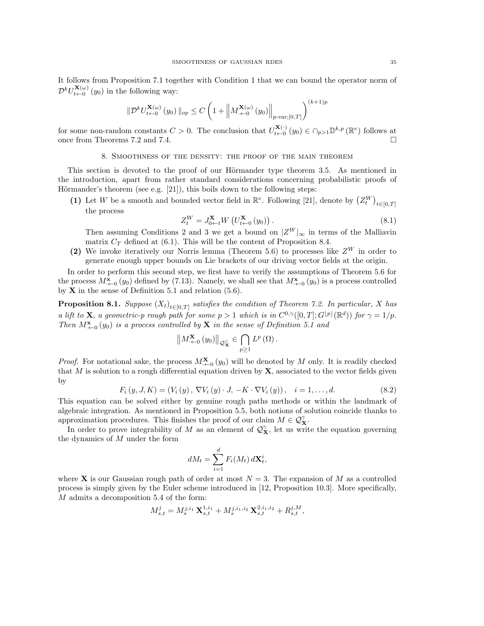It follows from Proposition 7.1 together with Condition 1 that we can bound the operator norm of  $\mathcal{D}^k U_{t\leftarrow 0}^{\mathbf{X}(\omega)}(y_0)$  in the following way:

$$
\|\mathcal{D}^{k}U_{t\leftarrow 0}^{\mathbf{X}(\omega)}(y_0)\|_{op} \leq C\left(1 + \left\|M_{\cdot\leftarrow 0}^{\mathbf{X}(\omega)}(y_0)\right\|_{p\text{-}\mathrm{var};[0,T]}\right)^{(k+1)p}
$$

for some non-random constants  $C > 0$ . The conclusion that  $U_{t \leftarrow 0}^{\mathbf{X}(\cdot)}(y_0) \in \cap_{p>1} \mathbb{D}^{k,p}(\mathbb{R}^e)$  follows at once from Theorems 7.2 and 7.4.  $\Box$ 

### 8. Smoothness of the density: the proof of the main theorem

This section is devoted to the proof of our Hörmander type theorem 3.5. As mentioned in the introduction, apart from rather standard considerations concerning probabilistic proofs of Hörmander's theorem (see e.g.  $[21]$ ), this boils down to the following steps:

(1) Let W be a smooth and bounded vector field in  $\mathbb{R}^e$ . Following [21], denote by  $(Z_t^W)_{t \in [0,T]}$ the process

$$
Z_t^W = J_{0 \leftarrow t}^{\mathbf{X}} W \left( U_{t \leftarrow 0}^{\mathbf{X}} \left( y_0 \right) \right). \tag{8.1}
$$

Then assuming Conditions 2 and 3 we get a bound on  $|Z^W|_{\infty}$  in terms of the Malliavin matrix  $C_T$  defined at (6.1). This will be the content of Proposition 8.4.

(2) We invoke iteratively our Norris lemma (Theorem 5.6) to processes like  $Z^W$  in order to generate enough upper bounds on Lie brackets of our driving vector fields at the origin.

In order to perform this second step, we first have to verify the assumptions of Theorem 5.6 for the process  $M^{\mathbf{x}}_{\cdot\leftarrow 0}(y_0)$  defined by (7.13). Namely, we shall see that  $M^{\mathbf{x}}_{\cdot\leftarrow 0}(y_0)$  is a process controlled by  $X$  in the sense of Definition 5.1 and relation (5.6).

**Proposition 8.1.** Suppose  $(X_t)_{t \in [0,T]}$  satisfies the condition of Theorem 7.2. In particular, X has a lift to **X**, a geometric-p rough path for some  $p > 1$  which is in  $C^{0,\gamma}([0,T];G^{\lfloor p \rfloor}(\mathbb{R}^d))$  for  $\gamma = 1/p$ . Then  $M^{\mathbf{x}}_{\cdot \leftarrow 0}(y_0)$  is a process controlled by **X** in the sense of Definition 5.1 and

$$
\left\|M^{\mathbf{X}}_{\cdot\leftarrow0}\left(y_0\right)\right\|_{\mathcal{Q}^{\gamma}_{\mathbf{X}}}\in\bigcap_{p\geq1}L^p\left(\Omega\right).
$$

*Proof.* For notational sake, the process  $M_{\leftarrow 0}^{\mathbf{X}}(y_0)$  will be denoted by M only. It is readily checked that M is solution to a rough differential equation driven by  $X$ , associated to the vector fields given by

$$
F_i(y, J, K) = (V_i(y), \nabla V_i(y) \cdot J, -K \cdot \nabla V_i(y)), \quad i = 1, ..., d.
$$
 (8.2)

This equation can be solved either by genuine rough paths methods or within the landmark of algebraic integration. As mentioned in Proposition 5.5, both notions of solution coincide thanks to approximation procedures. This finishes the proof of our claim  $M \in \mathcal{Q}_{\mathbf{X}}^{\gamma}$ .

In order to prove integrability of M as an element of  $\mathcal{Q}_{\mathbf{X}}^{\gamma}$ , let us write the equation governing the dynamics of M under the form

$$
dM_t = \sum_{i=1}^d F_i(M_t) d\mathbf{X}_t^i,
$$

where **X** is our Gaussian rough path of order at most  $N = 3$ . The expansion of M as a controlled process is simply given by the Euler scheme introduced in [12, Proposition 10.3]. More specifically, M admits a decomposition 5.4 of the form:

$$
M_{s,t}^j = M_s^{j,i_1} \mathbf{X}_{s,t}^{1,i_1} + M_s^{j,i_1,i_2} \mathbf{X}_{s,t}^{2,i_1,i_2} + R_{s,t}^{j,M},
$$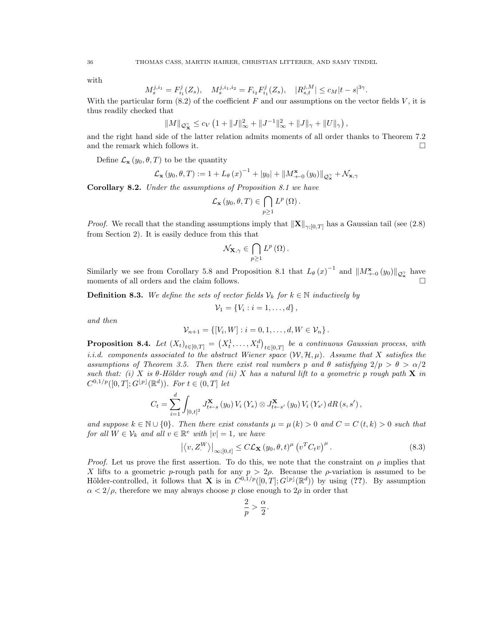with

$$
M_s^{j,i_1} = F_{i_1}^j(Z_s), \quad M_s^{j,i_1,i_2} = F_{i_2} F_{i_1}^j(Z_s), \quad |R_{s,t}^{j,M}| \le c_M |t-s|^{3\gamma}
$$

.

With the particular form  $(8.2)$  of the coefficient F and our assumptions on the vector fields V, it is thus readily checked that

$$
||M||_{\mathcal{Q}_{\mathbf{X}}^{\gamma}} \leq c_V \left(1 + ||J||_{\infty}^2 + ||J^{-1}||_{\infty}^2 + ||J||_{\gamma} + ||U||_{\gamma}\right),
$$

and the right hand side of the latter relation admits moments of all order thanks to Theorem 7.2 and the remark which follows it.  $\Box$ 

Define  $\mathcal{L}_{\mathbf{x}}(y_0, \theta, T)$  to be the quantity

$$
\mathcal{L}_{\mathbf{x}}(y_0, \theta, T) := 1 + L_{\theta}(x)^{-1} + |y_0| + ||M^{\mathbf{x}}_{\cdot \leftarrow 0}(y_0)||_{\mathcal{Q}^{\gamma}_{\mathbf{x}}} + \mathcal{N}_{\mathbf{x}, \gamma}
$$

Corollary 8.2. Under the assumptions of Proposition 8.1 we have

$$
\mathcal{L}_{\mathbf{x}}(y_0,\theta,T) \in \bigcap_{p\geq 1} L^p(\Omega).
$$

*Proof.* We recall that the standing assumptions imply that  $\|\mathbf{X}\|_{\gamma,[0,T]}$  has a Gaussian tail (see (2.8) from Section 2). It is easily deduce from this that

$$
\mathcal{N}_{\mathbf{X},\gamma}\in\bigcap_{p\geq1}L^{p}\left( \Omega\right) .
$$

Similarly we see from Corollary 5.8 and Proposition 8.1 that  $L_{\theta}(x)^{-1}$  and  $||M^{\mathbf{x}}_{\cdot\leftarrow 0}(y_0)||_{\mathcal{Q}_{\mathbf{x}}^{\gamma}}$  have moments of all orders and the claim follows.

**Definition 8.3.** We define the sets of vector fields  $V_k$  for  $k \in \mathbb{N}$  inductively by

$$
\mathcal{V}_1 = \{V_i : i = 1, \ldots, d\},\,
$$

and then

$$
\mathcal{V}_{n+1} = \{ [V_i, W] : i = 0, 1, \dots, d, W \in \mathcal{V}_n \}.
$$

**Proposition 8.4.** Let  $(X_t)_{t \in [0,T]} = (X_t^1, \ldots, X_t^d)_{t \in [0,T]}$  be a continuous Gaussian process, with i.i.d. components associated to the abstract Wiener space  $(W, \mathcal{H}, \mu)$ . Assume that X satisfies the assumptions of Theorem 3.5. Then there exist real numbers p and  $\theta$  satisfying  $2/p > \theta > \alpha/2$ such that: (i) X is  $\theta$ -Hölder rough and (ii) X has a natural lift to a geometric p rough path X in  $C^{0,1/p}([0,T];G^{\lfloor p\rfloor}(\mathbb{R}^d)).$  For  $t \in (0,T]$  let

$$
C_t = \sum_{i=1}^d \int_{[0,t]^2} J_{t \leftarrow s}^{\mathbf{X}} (y_0) V_i (Y_s) \otimes J_{t \leftarrow s'}^{\mathbf{X}} (y_0) V_i (Y_{s'}) dR (s, s'),
$$

and suppose  $k \in \mathbb{N} \cup \{0\}$ . Then there exist constants  $\mu = \mu(k) > 0$  and  $C = C(t, k) > 0$  such that for all  $W \in \mathcal{V}_k$  and all  $v \in \mathbb{R}^e$  with  $|v|=1$ , we have

$$
\left| \left\langle v, Z^{W} \right\rangle \right|_{\infty; [0, t]} \leq C \mathcal{L}_{\mathbf{X}} \left( y_0, \theta, t \right)^{\mu} \left( v^{T} C_t v \right)^{\mu} . \tag{8.3}
$$

*Proof.* Let us prove the first assertion. To do this, we note that the constraint on  $\rho$  implies that X lifts to a geometric p-rough path for any  $p > 2\rho$ . Because the p-variation is assumed to be Hölder-controlled, it follows that **X** is in  $C^{0,1/p}([0,T];G^{\lfloor p \rfloor}(\mathbb{R}^d))$  by using (??). By assumption  $\alpha < 2/\rho$ , therefore we may always choose p close enough to  $2\rho$  in order that

$$
\frac{2}{p} > \frac{\alpha}{2}.
$$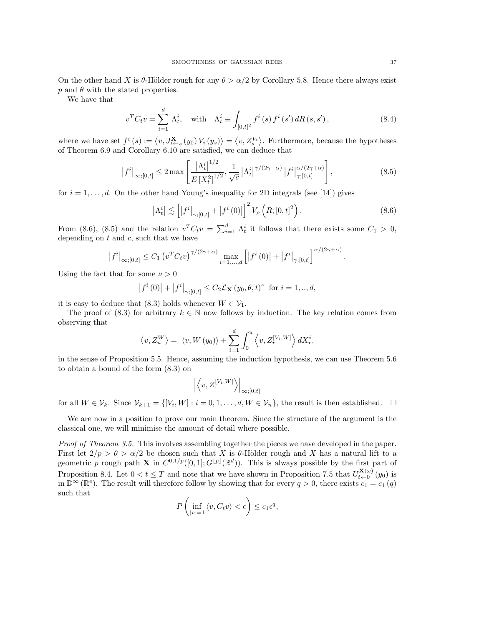On the other hand X is  $\theta$ -Hölder rough for any  $\theta > \alpha/2$  by Corollary 5.8. Hence there always exist  $p$  and  $\theta$  with the stated properties.

We have that

$$
v^{T}C_{t}v = \sum_{i=1}^{d} \Lambda_{t}^{i}, \text{ with } \Lambda_{t}^{i} \equiv \int_{[0,t]^{2}} f^{i}(s) f^{i}(s') dR(s,s'), \qquad (8.4)
$$

where we have set  $f^i(s) := \langle v, J_{t \leftarrow s}^{\mathbf{X}}(y_0) V_i(y_s) \rangle = \langle v, Z_s^{\overline{V_i}} \rangle$ . Furthermore, because the hypotheses of Theorem 6.9 and Corollary 6.10 are satisfied, we can deduce that

$$
\left| f^{i} \right|_{\infty;[0,t]} \leq 2 \max \left[ \frac{\left| \Lambda_{t}^{i} \right|^{1/2}}{E \left[ X_{t}^{2} \right]^{1/2}}, \frac{1}{\sqrt{c}} \left| \Lambda_{t}^{i} \right|^{\gamma/(2\gamma+\alpha)} \left| f^{i} \right|_{\gamma;[0,t]}^{\alpha/(2\gamma+\alpha)} \right], \tag{8.5}
$$

for  $i = 1, \ldots, d$ . On the other hand Young's inequality for 2D integrals (see [14]) gives

$$
\left|\Lambda_t^i\right| \lesssim \left[ \left|f^i\right|_{\gamma;[0,t]} + \left|f^i(0)\right|\right]^2 V_\rho \left(R;[0,t]^2\right). \tag{8.6}
$$

From (8.6), (8.5) and the relation  $v^T C_t v = \sum_{i=1}^d \Lambda_t^i$  it follows that there exists some  $C_1 > 0$ , depending on  $t$  and  $c$ , such that we have

$$
|f^{i}|_{\infty;[0,t]} \leq C_1 \left( v^{T} C_t v \right)^{\gamma/(2\gamma+\alpha)} \max_{i=1,\dots,d} \left[ \left| f^{i}(0) \right| + \left| f^{i} \right|_{\gamma;[0,t]} \right]^{\alpha/(2\gamma+\alpha)}.
$$

Using the fact that for some  $\nu > 0$ 

$$
|f^{i}(0)| + |f^{i}|_{\gamma;[0,t]} \leq C_{2} \mathcal{L}_{\mathbf{X}} (y_{0}, \theta, t)^{\nu}
$$
 for  $i = 1, ..., d$ ,

it is easy to deduce that (8.3) holds whenever  $W \in \mathcal{V}_1$ .

The proof of (8.3) for arbitrary  $k \in \mathbb{N}$  now follows by induction. The key relation comes from observing that

$$
\left\langle v, Z_u^W \right\rangle = \left\langle v, W\left(y_0\right) \right\rangle + \sum_{i=1}^d \int_0^u \left\langle v, Z_r^{\left[V_i, W\right]} \right\rangle dX_r^i,
$$

in the sense of Proposition 5.5. Hence, assuming the induction hypothesis, we can use Theorem 5.6 to obtain a bound of the form (8.3) on

$$
\left| \left\langle v, Z_{\cdot}^{[V_i, W]} \right\rangle \right|_{\infty; [0, t]}
$$

for all  $W \in \mathcal{V}_k$ . Since  $\mathcal{V}_{k+1} = \{ [V_i, W] : i = 0, 1, ..., d, W \in \mathcal{V}_n \}$ , the result is then established.  $\Box$ 

We are now in a position to prove our main theorem. Since the structure of the argument is the classical one, we will minimise the amount of detail where possible.

Proof of Theorem 3.5. This involves assembling together the pieces we have developed in the paper. First let  $2/p > \theta > \alpha/2$  be chosen such that X is  $\theta$ -Hölder rough and X has a natural lift to a geometric p rough path **X** in  $C^{0,1/p}([0,1];G^{\lfloor p\rfloor}(\mathbb{R}^d))$ . This is always possible by the first part of Proposition 8.4. Let  $0 < t \leq T$  and note that we have shown in Proposition 7.5 that  $U_{t \leftarrow 0}^{\mathbf{X}(\omega)}(y_0)$  is in  $\mathbb{D}^{\infty}(\mathbb{R}^e)$ . The result will therefore follow by showing that for every  $q > 0$ , there exists  $c_1 = c_1(q)$ such that

$$
P\left(\inf_{|v|=1} \left\langle v, C_t v \right\rangle < \epsilon\right) \leq c_1 \epsilon^q,
$$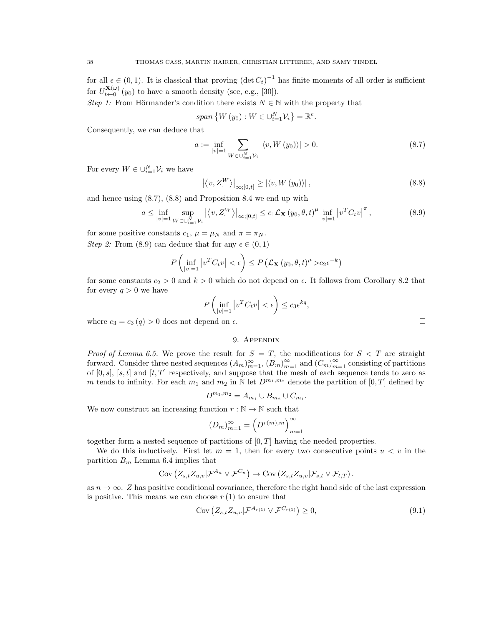for all  $\epsilon \in (0,1)$ . It is classical that proving  $(\det C_t)^{-1}$  has finite moments of all order is sufficient for  $U_{t\leftarrow 0}^{\mathbf{X}(\omega)}(y_0)$  to have a smooth density (see, e.g., [30]).

Step 1: From Hörmander's condition there exists  $N \in \mathbb{N}$  with the property that

$$
span\left\{ W\left(y_{0}\right):W\in\cup_{i=1}^{N}\mathcal{V}_{i}\right\} =\mathbb{R}^{e}.
$$

Consequently, we can deduce that

$$
a := \inf_{|v|=1} \sum_{W \in \cup_{i=1}^{N} \mathcal{V}_i} |\langle v, W(y_0) \rangle| > 0.
$$
 (8.7)

For every  $W \in \bigcup_{i=1}^N \mathcal{V}_i$  we have

$$
\left| \left\langle v, Z^{W} \right\rangle \right|_{\infty; [0, t]} \geq \left| \left\langle v, W\left( y_{0} \right) \right\rangle \right|, \tag{8.8}
$$

and hence using (8.7), (8.8) and Proposition 8.4 we end up with

$$
a \le \inf_{|v|=1} \sup_{W \in \cup_{i=1}^{N} \mathcal{V}_i} |\langle v, Z^W \rangle|_{\infty; [0, t]} \le c_1 \mathcal{L}_{\mathbf{X}} (y_0, \theta, t)^{\mu} \inf_{|v|=1} |v^T C_t v|^{\pi}, \tag{8.9}
$$

for some positive constants  $c_1$ ,  $\mu = \mu_N$  and  $\pi = \pi_N$ .

Step 2: From (8.9) can deduce that for any  $\epsilon \in (0,1)$ 

$$
P\left(\inf_{|v|=1}|v^TC_tv|<\epsilon\right)\leq P\left(\mathcal{L}_{\mathbf{X}}\left(y_0,\theta,t\right)^{\mu}>c_2\epsilon^{-k}\right)
$$

for some constants  $c_2 > 0$  and  $k > 0$  which do not depend on  $\epsilon$ . It follows from Corollary 8.2 that for every  $q > 0$  we have

$$
P\left(\inf_{|v|=1} |v^T C_t v| < \epsilon\right) \le c_3 \epsilon^{kq},
$$

where  $c_3 = c_3(q) > 0$  does not depend on  $\epsilon$ .

# 9. Appendix

*Proof of Lemma 6.5.* We prove the result for  $S = T$ , the modifications for  $S < T$  are straight forward. Consider three nested sequences  $(A_m)_{m=1}^{\infty}$ ,  $(B_m)_{m=1}^{\infty}$  and  $(C_m)_{m=1}^{\infty}$  consisting of partitions of  $[0, s]$ ,  $[s, t]$  and  $[t, T]$  respectively, and suppose that the mesh of each sequence tends to zero as m tends to infinity. For each  $m_1$  and  $m_2$  in N let  $D^{m_1,m_2}$  denote the partition of  $[0,T]$  defined by

$$
D^{m_1,m_2} = A_{m_1} \cup B_{m_2} \cup C_{m_1}.
$$

We now construct an increasing function  $r : \mathbb{N} \to \mathbb{N}$  such that

$$
(D_m)_{m=1}^\infty=\left(D^{r(m),m}\right)_{m=1}^\infty
$$

together form a nested sequence of partitions of  $[0, T]$  having the needed properties.

We do this inductively. First let  $m = 1$ , then for every two consecutive points  $u < v$  in the partition  $B_m$  Lemma 6.4 implies that

$$
Cov\left(Z_{s,t}Z_{u,v}|\mathcal{F}^{A_n}\vee\mathcal{F}^{C_n}\right)\to Cov\left(Z_{s,t}Z_{u,v}|\mathcal{F}_{s,t}\vee\mathcal{F}_{t,T}\right).
$$

as  $n \to \infty$ . Z has positive conditional covariance, therefore the right hand side of the last expression is positive. This means we can choose  $r(1)$  to ensure that

$$
Cov\left(Z_{s,t}Z_{u,v}|\mathcal{F}^{A_{r(1)}}\vee\mathcal{F}^{C_{r(1)}}\right)\geq 0,
$$
\n(9.1)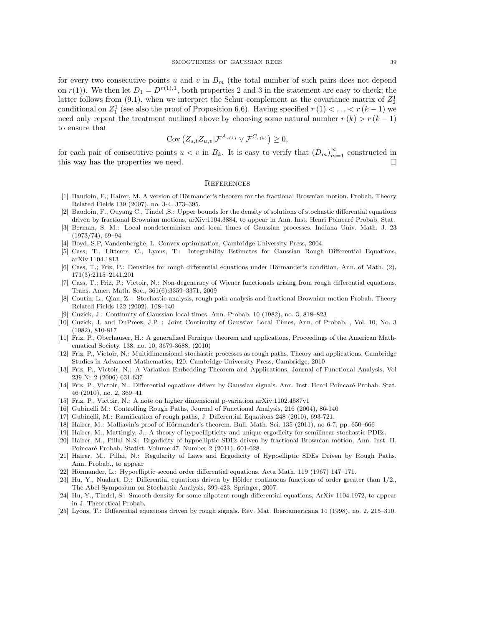for every two consecutive points u and v in  $B<sub>m</sub>$  (the total number of such pairs does not depend on  $r(1)$ ). We then let  $D_1 = D^{r(1),1}$ , both properties 2 and 3 in the statement are easy to check; the latter follows from (9.1), when we interpret the Schur complement as the covariance matrix of  $Z_2^1$ conditional on  $Z_1^1$  (see also the proof of Proposition 6.6). Having specified  $r(1) < \ldots < r(k-1)$  we need only repeat the treatment outlined above by choosing some natural number  $r(k) > r(k-1)$ to ensure that

$$
Cov\left(Z_{s,t}Z_{u,v}|\mathcal{F}^{A_{r(k)}}\vee \mathcal{F}^{C_{r(k)}}\right)\geq 0,
$$

for each pair of consecutive points  $u < v$  in  $B_k$ . It is easy to verify that  $(D_m)_{m=1}^{\infty}$  constructed in this way has the properties we need.

#### **REFERENCES**

- [1] Baudoin, F.; Hairer, M. A version of Hörmander's theorem for the fractional Brownian motion. Probab. Theory Related Fields 139 (2007), no. 3-4, 373–395.
- [2] Baudoin, F., Ouyang C., Tindel ,S.: Upper bounds for the density of solutions of stochastic differential equations driven by fractional Brownian motions, arXiv:1104.3884, to appear in Ann. Inst. Henri Poincaré Probab. Stat.
- [3] Berman, S. M.: Local nondeterminism and local times of Gaussian processes. Indiana Univ. Math. J. 23 (1973/74), 69–94
- [4] Boyd, S.P, Vandenberghe, L. Convex optimization, Cambridge University Press, 2004.
- [5] Cass, T., Litterer, C., Lyons, T.: Integrability Estimates for Gaussian Rough Differential Equations, arXiv:1104.1813
- [6] Cass, T.; Friz, P.: Densities for rough differential equations under Hörmander's condition, Ann. of Math. (2), 171(3):2115–2141,201
- [7] Cass, T.; Friz, P.; Victoir, N.: Non-degeneracy of Wiener functionals arising from rough differential equations. Trans. Amer. Math. Soc., 361(6):3359–3371, 2009
- [8] Coutin, L., Qian, Z. : Stochastic analysis, rough path analysis and fractional Brownian motion Probab. Theory Related Fields 122 (2002), 108–140
- [9] Cuzick, J.: Continuity of Gaussian local times. Ann. Probab. 10 (1982), no. 3, 818–823
- [10] Cuzick, J. and DuPreez, J.P. : Joint Continuity of Gaussian Local Times, Ann. of Probab. , Vol. 10, No. 3 (1982), 810-817
- [11] Friz, P., Oberhauser, H.: A generalized Fernique theorem and applications, Proceedings of the American Mathematical Society. 138, no. 10, 3679-3688, (2010)
- [12] Friz, P., Victoir, N.: Multidimensional stochastic processes as rough paths. Theory and applications. Cambridge Studies in Advanced Mathematics, 120. Cambridge University Press, Cambridge, 2010
- [13] Friz, P., Victoir, N.: A Variation Embedding Theorem and Applications, Journal of Functional Analysis, Vol 239 Nr 2 (2006) 631-637
- [14] Friz, P., Victoir, N.: Differential equations driven by Gaussian signals. Ann. Inst. Henri Poincaré Probab. Stat. 46 (2010), no. 2, 369–41
- [15] Friz, P., Victoir, N.: A note on higher dimensional p-variation arXiv:1102.4587v1
- [16] Gubinelli M.: Controlling Rough Paths, Journal of Functional Analysis, 216 (2004), 86-140
- [17] Gubinelli, M.: Ramification of rough paths, J. Differential Equations 248 (2010), 693-721.
- [18] Hairer, M.: Malliavin's proof of Hörmander's theorem. Bull. Math. Sci. 135 (2011), no 6-7, pp. 650–666
- [19] Hairer, M., Mattingly, J.: A theory of hypoellipticity and unique ergodicity for semilinear stochastic PDEs.
- [20] Hairer, M., Pillai N.S.: Ergodicity of hypoelliptic SDEs driven by fractional Brownian motion, Ann. Inst. H. Poincaré Probab. Statist. Volume 47, Number 2 (2011), 601-628.
- [21] Hairer, M., Pillai, N.: Regularity of Laws and Ergodicity of Hypoelliptic SDEs Driven by Rough Paths. Ann. Probab., to appear
- [22] Hörmander, L.: Hypoelliptic second order differential equations. Acta Math. 119 (1967) 147-171.
- [23] Hu, Y., Nualart, D.: Differential equations driven by Hölder continuous functions of order greater than  $1/2$ . The Abel Symposium on Stochastic Analysis, 399-423. Springer, 2007.
- [24] Hu, Y., Tindel, S.: Smooth density for some nilpotent rough differential equations, ArXiv 1104.1972, to appear in J. Theoretical Probab.
- [25] Lyons, T.: Differential equations driven by rough signals, Rev. Mat. Iberoamericana 14 (1998), no. 2, 215–310.